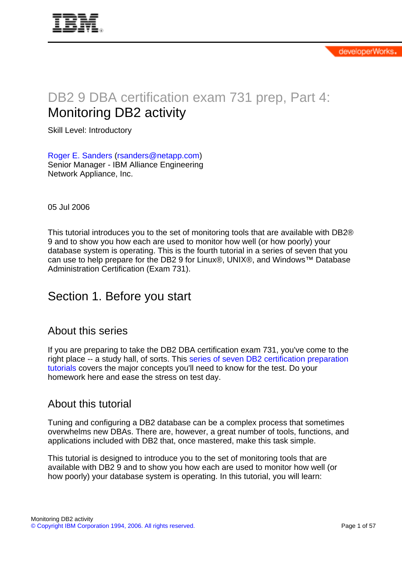

# DB2 9 DBA certification exam 731 prep, Part 4: Monitoring DB2 activity

Skill Level: Introductory

[Roger E. Sanders](#page-56-0) ([rsanders@netapp.com](mailto:rsanders@netapp.com)) Senior Manager - IBM Alliance Engineering Network Appliance, Inc.

05 Jul 2006

This tutorial introduces you to the set of monitoring tools that are available with DB2® 9 and to show you how each are used to monitor how well (or how poorly) your database system is operating. This is the fourth tutorial in a series of seven that you can use to help prepare for the DB2 9 for Linux®, UNIX®, and Windows™ Database Administration Certification (Exam 731).

# Section 1. Before you start

### About this series

If you are preparing to take the DB2 DBA certification exam 731, you've come to the right place -- a study hall, of sorts. This [series of seven DB2 certification preparation](http://www.ibm.com/developerworks/offers/lp/db2cert/db2-cert731.html?S_TACT=105AGX19&S_CMP=db2cert) [tutorials](http://www.ibm.com/developerworks/offers/lp/db2cert/db2-cert731.html?S_TACT=105AGX19&S_CMP=db2cert) covers the major concepts you'll need to know for the test. Do your homework here and ease the stress on test day.

### About this tutorial

Tuning and configuring a DB2 database can be a complex process that sometimes overwhelms new DBAs. There are, however, a great number of tools, functions, and applications included with DB2 that, once mastered, make this task simple.

This tutorial is designed to introduce you to the set of monitoring tools that are available with DB2 9 and to show you how each are used to monitor how well (or how poorly) your database system is operating. In this tutorial, you will learn: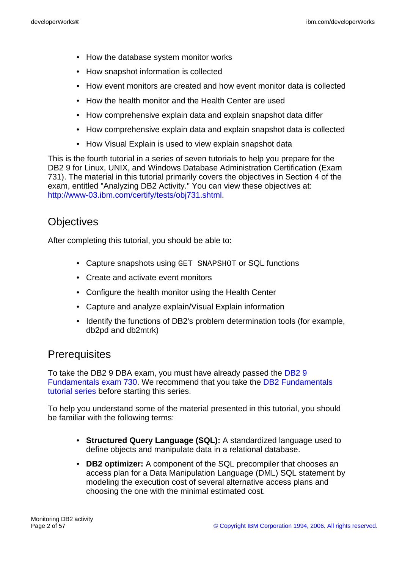- How the database system monitor works
- How snapshot information is collected
- How event monitors are created and how event monitor data is collected
- How the health monitor and the Health Center are used
- How comprehensive explain data and explain snapshot data differ
- How comprehensive explain data and explain snapshot data is collected
- How Visual Explain is used to view explain snapshot data

This is the fourth tutorial in a series of seven tutorials to help you prepare for the DB2 9 for Linux, UNIX, and Windows Database Administration Certification (Exam 731). The material in this tutorial primarily covers the objectives in Section 4 of the exam, entitled "Analyzing DB2 Activity." You can view these objectives at: <http://www-03.ibm.com/certify/tests/obj731.shtml>.

# **Objectives**

After completing this tutorial, you should be able to:

- Capture snapshots using GET SNAPSHOT or SQL functions
- Create and activate event monitors
- Configure the health monitor using the Health Center
- Capture and analyze explain/Visual Explain information
- Identify the functions of DB2's problem determination tools (for example, db2pd and db2mtrk)

### **Prerequisites**

To take the DB2 9 DBA exam, you must have already passed the [DB2 9](http://www-03.ibm.com/certify/tests/test_index.shtml) [Fundamentals exam 730.](http://www-03.ibm.com/certify/tests/test_index.shtml) We recommend that you take the [DB2 Fundamentals](http://www.ibm.com/developerworks/offers/lp/db2cert/db2-cert730.html?S_TACT=105AGX19&S_CMP=sum) [tutorial series](http://www.ibm.com/developerworks/offers/lp/db2cert/db2-cert730.html?S_TACT=105AGX19&S_CMP=sum) before starting this series.

To help you understand some of the material presented in this tutorial, you should be familiar with the following terms:

- **Structured Query Language (SQL):** A standardized language used to define objects and manipulate data in a relational database.
- **DB2 optimizer:** A component of the SQL precompiler that chooses an access plan for a Data Manipulation Language (DML) SQL statement by modeling the execution cost of several alternative access plans and choosing the one with the minimal estimated cost.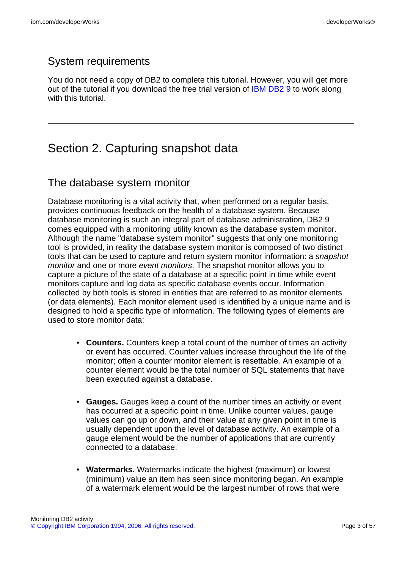# System requirements

You do not need a copy of DB2 to complete this tutorial. However, you will get more out of the tutorial if you download the free trial version of [IBM DB2 9](http://www.ibm.com/developerworks/downloads/im/udb/?S_TACT=105AGX19&S_CMP=db2cert) to work along with this tutorial.

# Section 2. Capturing snapshot data

## The database system monitor

Database monitoring is a vital activity that, when performed on a regular basis, provides continuous feedback on the health of a database system. Because database monitoring is such an integral part of database administration, DB2 9 comes equipped with a monitoring utility known as the database system monitor. Although the name "database system monitor" suggests that only one monitoring tool is provided, in reality the database system monitor is composed of two distinct tools that can be used to capture and return system monitor information: a snapshot monitor and one or more event monitors. The snapshot monitor allows you to capture a picture of the state of a database at a specific point in time while event monitors capture and log data as specific database events occur. Information collected by both tools is stored in entities that are referred to as monitor elements (or data elements). Each monitor element used is identified by a unique name and is designed to hold a specific type of information. The following types of elements are used to store monitor data:

- **Counters.** Counters keep a total count of the number of times an activity or event has occurred. Counter values increase throughout the life of the monitor; often a counter monitor element is resettable. An example of a counter element would be the total number of SQL statements that have been executed against a database.
- **Gauges.** Gauges keep a count of the number times an activity or event has occurred at a specific point in time. Unlike counter values, gauge values can go up or down, and their value at any given point in time is usually dependent upon the level of database activity. An example of a gauge element would be the number of applications that are currently connected to a database.
- **Watermarks.** Watermarks indicate the highest (maximum) or lowest (minimum) value an item has seen since monitoring began. An example of a watermark element would be the largest number of rows that were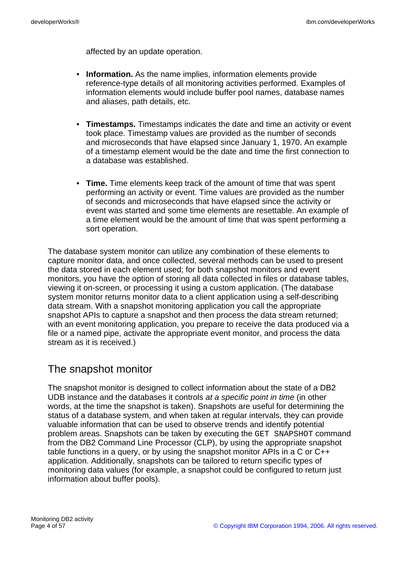affected by an update operation.

- **Information.** As the name implies, information elements provide reference-type details of all monitoring activities performed. Examples of information elements would include buffer pool names, database names and aliases, path details, etc.
- **Timestamps.** Timestamps indicates the date and time an activity or event took place. Timestamp values are provided as the number of seconds and microseconds that have elapsed since January 1, 1970. An example of a timestamp element would be the date and time the first connection to a database was established.
- **Time.** Time elements keep track of the amount of time that was spent performing an activity or event. Time values are provided as the number of seconds and microseconds that have elapsed since the activity or event was started and some time elements are resettable. An example of a time element would be the amount of time that was spent performing a sort operation.

The database system monitor can utilize any combination of these elements to capture monitor data, and once collected, several methods can be used to present the data stored in each element used; for both snapshot monitors and event monitors, you have the option of storing all data collected in files or database tables, viewing it on-screen, or processing it using a custom application. (The database system monitor returns monitor data to a client application using a self-describing data stream. With a snapshot monitoring application you call the appropriate snapshot APIs to capture a snapshot and then process the data stream returned; with an event monitoring application, you prepare to receive the data produced via a file or a named pipe, activate the appropriate event monitor, and process the data stream as it is received.)

## The snapshot monitor

The snapshot monitor is designed to collect information about the state of a DB2 UDB instance and the databases it controls at a specific point in time (in other words, at the time the snapshot is taken). Snapshots are useful for determining the status of a database system, and when taken at regular intervals, they can provide valuable information that can be used to observe trends and identify potential problem areas. Snapshots can be taken by executing the GET SNAPSHOT command from the DB2 Command Line Processor (CLP), by using the appropriate snapshot table functions in a query, or by using the snapshot monitor APIs in a C or C++ application. Additionally, snapshots can be tailored to return specific types of monitoring data values (for example, a snapshot could be configured to return just information about buffer pools).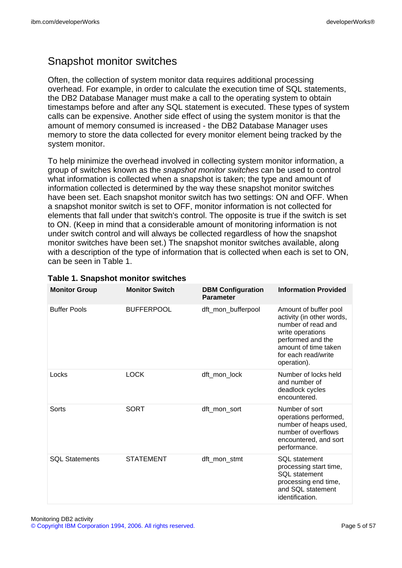# Snapshot monitor switches

Often, the collection of system monitor data requires additional processing overhead. For example, in order to calculate the execution time of SQL statements, the DB2 Database Manager must make a call to the operating system to obtain timestamps before and after any SQL statement is executed. These types of system calls can be expensive. Another side effect of using the system monitor is that the amount of memory consumed is increased - the DB2 Database Manager uses memory to store the data collected for every monitor element being tracked by the system monitor.

To help minimize the overhead involved in collecting system monitor information, a group of switches known as the snapshot monitor switches can be used to control what information is collected when a snapshot is taken; the type and amount of information collected is determined by the way these snapshot monitor switches have been set. Each snapshot monitor switch has two settings: ON and OFF. When a snapshot monitor switch is set to OFF, monitor information is not collected for elements that fall under that switch's control. The opposite is true if the switch is set to ON. (Keep in mind that a considerable amount of monitoring information is not under switch control and will always be collected regardless of how the snapshot monitor switches have been set.) The snapshot monitor switches available, along with a description of the type of information that is collected when each is set to ON, can be seen in Table 1.

| <b>Monitor Group</b>  | <b>Monitor Switch</b> | <b>DBM Configuration</b><br><b>Parameter</b> | <b>Information Provided</b>                                                                                                                                                     |
|-----------------------|-----------------------|----------------------------------------------|---------------------------------------------------------------------------------------------------------------------------------------------------------------------------------|
| <b>Buffer Pools</b>   | <b>BUFFERPOOL</b>     | dft_mon_bufferpool                           | Amount of buffer pool<br>activity (in other words,<br>number of read and<br>write operations<br>performed and the<br>amount of time taken<br>for each read/write<br>operation). |
| Locks                 | <b>LOCK</b>           | dft_mon_lock                                 | Number of locks held<br>and number of<br>deadlock cycles<br>encountered.                                                                                                        |
| Sorts                 | <b>SORT</b>           | dft_mon_sort                                 | Number of sort<br>operations performed,<br>number of heaps used,<br>number of overflows<br>encountered, and sort<br>performance.                                                |
| <b>SQL Statements</b> | <b>STATEMENT</b>      | dft_mon_stmt                                 | <b>SQL</b> statement<br>processing start time,<br>SOL statement<br>processing end time,<br>and SQL statement<br>identification.                                                 |

#### **Table 1. Snapshot monitor switches**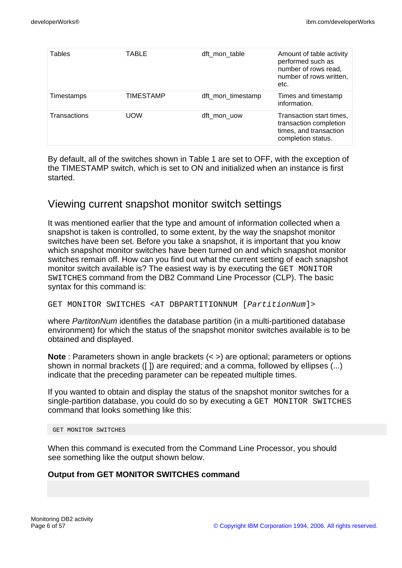| Tables       | TABLE      | dft mon table     | Amount of table activity<br>performed such as<br>number of rows read,<br>number of rows written,<br>etc. |
|--------------|------------|-------------------|----------------------------------------------------------------------------------------------------------|
| Timestamps   | TIMESTAMP  | dft_mon_timestamp | Times and timestamp<br>information.                                                                      |
| Transactions | <b>UOW</b> | dft mon uow       | Transaction start times,<br>transaction completion<br>times, and transaction<br>completion status.       |

By default, all of the switches shown in Table 1 are set to OFF, with the exception of the TIMESTAMP switch, which is set to ON and initialized when an instance is first started.

### Viewing current snapshot monitor switch settings

It was mentioned earlier that the type and amount of information collected when a snapshot is taken is controlled, to some extent, by the way the snapshot monitor switches have been set. Before you take a snapshot, it is important that you know which snapshot monitor switches have been turned on and which snapshot monitor switches remain off. How can you find out what the current setting of each snapshot monitor switch available is? The easiest way is by executing the GET MONITOR SWITCHES command from the DB2 Command Line Processor (CLP). The basic syntax for this command is:

GET MONITOR SWITCHES <AT DBPARTITIONNUM [PartitionNum]>

where *PartitonNum* identifies the database partition (in a multi-partitioned database environment) for which the status of the snapshot monitor switches available is to be obtained and displayed.

**Note**: Parameters shown in angle brackets  $(<)$  are optional; parameters or options shown in normal brackets ([ ]) are required; and a comma, followed by ellipses (...) indicate that the preceding parameter can be repeated multiple times.

If you wanted to obtain and display the status of the snapshot monitor switches for a single-partition database, you could do so by executing a GET MONITOR SWITCHES command that looks something like this:

GET MONITOR SWITCHES

When this command is executed from the Command Line Processor, you should see something like the output shown below.

#### **Output from GET MONITOR SWITCHES command**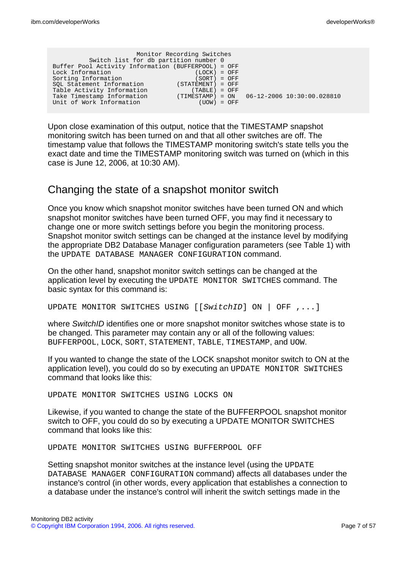| Switch list for db partition number 0<br>Buffer Pool Activity Information (BUFFERPOOL) = OFF | Monitor Recording Switches                    |  |
|----------------------------------------------------------------------------------------------|-----------------------------------------------|--|
| Lock Information                                                                             | $(LOCK) = OFF$                                |  |
| Sorting Information                                                                          | $(SORT) = OFF$                                |  |
| SOL Statement Information                                                                    | $(STATEMENT) = OFF$                           |  |
| Table Activity Information                                                                   | $(TABLE) = OFF$                               |  |
| Take Timestamp Information                                                                   | $(TIMESTAMP) = ON$ 06-12-2006 10:30:00.028810 |  |
| Unit of Work Information                                                                     | $(UOW) = OFF$                                 |  |
|                                                                                              |                                               |  |

Upon close examination of this output, notice that the TIMESTAMP snapshot monitoring switch has been turned on and that all other switches are off. The timestamp value that follows the TIMESTAMP monitoring switch's state tells you the exact date and time the TIMESTAMP monitoring switch was turned on (which in this case is June 12, 2006, at 10:30 AM).

### Changing the state of a snapshot monitor switch

Once you know which snapshot monitor switches have been turned ON and which snapshot monitor switches have been turned OFF, you may find it necessary to change one or more switch settings before you begin the monitoring process. Snapshot monitor switch settings can be changed at the instance level by modifying the appropriate DB2 Database Manager configuration parameters (see Table 1) with the UPDATE DATABASE MANAGER CONFIGURATION command.

On the other hand, snapshot monitor switch settings can be changed at the application level by executing the UPDATE MONITOR SWITCHES command. The basic syntax for this command is:

UPDATE MONITOR SWITCHES USING [[SwitchID] ON | OFF ,...]

where SwitchID identifies one or more snapshot monitor switches whose state is to be changed. This parameter may contain any or all of the following values: BUFFERPOOL, LOCK, SORT, STATEMENT, TABLE, TIMESTAMP, and UOW.

If you wanted to change the state of the LOCK snapshot monitor switch to ON at the application level), you could do so by executing an UPDATE MONITOR SWITCHES command that looks like this:

UPDATE MONITOR SWITCHES USING LOCKS ON

Likewise, if you wanted to change the state of the BUFFERPOOL snapshot monitor switch to OFF, you could do so by executing a UPDATE MONITOR SWITCHES command that looks like this:

UPDATE MONITOR SWITCHES USING BUFFERPOOL OFF

Setting snapshot monitor switches at the instance level (using the UPDATE DATABASE MANAGER CONFIGURATION command) affects all databases under the instance's control (in other words, every application that establishes a connection to a database under the instance's control will inherit the switch settings made in the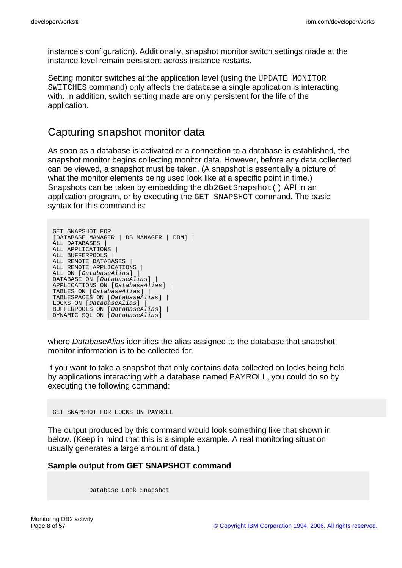instance's configuration). Additionally, snapshot monitor switch settings made at the instance level remain persistent across instance restarts.

Setting monitor switches at the application level (using the UPDATE MONITOR SWITCHES command) only affects the database a single application is interacting with. In addition, switch setting made are only persistent for the life of the application.

### Capturing snapshot monitor data

As soon as a database is activated or a connection to a database is established, the snapshot monitor begins collecting monitor data. However, before any data collected can be viewed, a snapshot must be taken. (A snapshot is essentially a picture of what the monitor elements being used look like at a specific point in time.) Snapshots can be taken by embedding the db2GetSnapshot() API in an application program, or by executing the GET SNAPSHOT command. The basic syntax for this command is:

```
GET SNAPSHOT FOR
[DATABASE MANAGER | DB MANAGER | DBM] |
ALL DATABASES |
ALL APPLICATIONS |
ALL BUFFERPOOLS |
ALL REMOTE_DATABASES |
ALL REMOTE APPLICATIONS |
ALL ON [DatabaseAlias] |
DATABASE ON [DatabaseAlias] |
APPLICATIONS ON [DatabaseAlias] |
TABLES ON [DatabaseAlias] |
TABLESPACES ON [DatabaseAlias] |
LOCKS ON [DatabaseAlias] |
BUFFERPOOLS ON [DatabaseAlias] |
DYNAMIC SQL ON [DatabaseAlias]
```
where DatabaseAlias identifies the alias assigned to the database that snapshot monitor information is to be collected for.

If you want to take a snapshot that only contains data collected on locks being held by applications interacting with a database named PAYROLL, you could do so by executing the following command:

GET SNAPSHOT FOR LOCKS ON PAYROLL

The output produced by this command would look something like that shown in below. (Keep in mind that this is a simple example. A real monitoring situation usually generates a large amount of data.)

#### **Sample output from GET SNAPSHOT command**

Database Lock Snapshot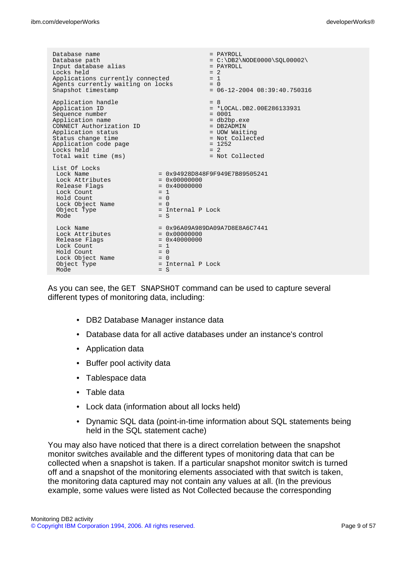| Database name<br>Database path<br>Input database alias<br>Locks held<br>Applications currently connected<br>Agents currently waiting on locks<br>Snapshot timestamp                                                |                                                                                           | $=$ PAYROLL<br>$= C:\DB2\NODE0000\SQL00002\$<br>= PAYROLL<br>$= 2$<br>$= 1$<br>$= 0$<br>$= 06 - 12 - 2004 08:39:40.750316$                                  |
|--------------------------------------------------------------------------------------------------------------------------------------------------------------------------------------------------------------------|-------------------------------------------------------------------------------------------|-------------------------------------------------------------------------------------------------------------------------------------------------------------|
| Application handle<br>Application ID<br>Sequence number<br>Application name<br>CONNECT Authorization ID<br>Application status<br>Status change time<br>Application code page<br>Locks held<br>Total wait time (ms) |                                                                                           | $= 8$<br>$= *LOCALJDB2.00E286133931$<br>$= 0001$<br>= db2bp.exe<br>$=$ DB2ADMIN<br>= UOW Waiting<br>= Not Collected<br>$= 1252$<br>$= 2$<br>= Not Collected |
| List Of Locks<br>Lock Name<br>Lock Attributes<br>Release Flags<br>Lock Count<br>Hold Count<br>Lock Object Name<br>Object Type<br>Mode                                                                              | $= 0x00000000$<br>$= 0x40000000$<br>$= 1$<br>$= 0$<br>$= 0$<br>= Internal P Lock<br>$= S$ | $= 0x94928D848F9F949E7B89505241$                                                                                                                            |
| Lock Name<br>Lock Attributes<br>Release Flags<br>Lock Count<br>Hold Count<br>Lock Object Name<br>Object Type<br>Mode                                                                                               | $= 0x00000000$<br>$= 0x40000000$<br>$= 1$<br>$= 0$<br>$= 0$<br>= Internal P Lock<br>$= S$ | $= 0x96A09A989DA09A7D8E8A6C7441$                                                                                                                            |

As you can see, the GET SNAPSHOT command can be used to capture several different types of monitoring data, including:

- DB2 Database Manager instance data
- Database data for all active databases under an instance's control
- Application data
- Buffer pool activity data
- Tablespace data
- Table data
- Lock data (information about all locks held)
- Dynamic SQL data (point-in-time information about SQL statements being held in the SQL statement cache)

You may also have noticed that there is a direct correlation between the snapshot monitor switches available and the different types of monitoring data that can be collected when a snapshot is taken. If a particular snapshot monitor switch is turned off and a snapshot of the monitoring elements associated with that switch is taken, the monitoring data captured may not contain any values at all. (In the previous example, some values were listed as Not Collected because the corresponding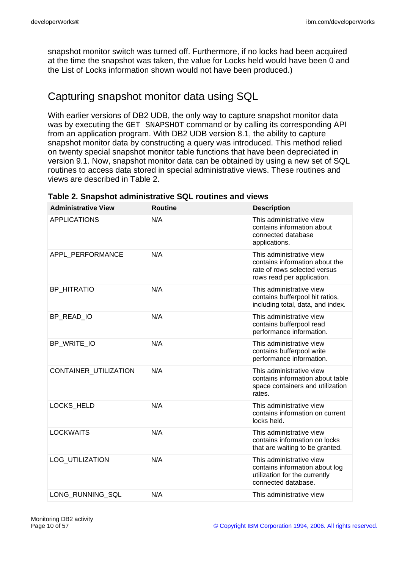snapshot monitor switch was turned off. Furthermore, if no locks had been acquired at the time the snapshot was taken, the value for Locks held would have been 0 and the List of Locks information shown would not have been produced.)

# Capturing snapshot monitor data using SQL

With earlier versions of DB2 UDB, the only way to capture snapshot monitor data was by executing the GET SNAPSHOT command or by calling its corresponding API from an application program. With DB2 UDB version 8.1, the ability to capture snapshot monitor data by constructing a query was introduced. This method relied on twenty special snapshot monitor table functions that have been depreciated in version 9.1. Now, snapshot monitor data can be obtained by using a new set of SQL routines to access data stored in special administrative views. These routines and views are described in Table 2.

| <b>Administrative View</b>   | <b>Routine</b> | <b>Description</b>                                                                                                       |
|------------------------------|----------------|--------------------------------------------------------------------------------------------------------------------------|
| <b>APPLICATIONS</b>          | N/A            | This administrative view<br>contains information about<br>connected database<br>applications.                            |
| APPL PERFORMANCE             | N/A            | This administrative view<br>contains information about the<br>rate of rows selected versus<br>rows read per application. |
| <b>BP HITRATIO</b>           | N/A            | This administrative view<br>contains bufferpool hit ratios,<br>including total, data, and index.                         |
| BP READ IO                   | N/A            | This administrative view<br>contains bufferpool read<br>performance information.                                         |
| BP_WRITE_IO                  | N/A            | This administrative view<br>contains bufferpool write<br>performance information.                                        |
| <b>CONTAINER UTILIZATION</b> | N/A            | This administrative view<br>contains information about table<br>space containers and utilization<br>rates.               |
| <b>LOCKS HELD</b>            | N/A            | This administrative view<br>contains information on current<br>locks held.                                               |
| <b>LOCKWAITS</b>             | N/A            | This administrative view<br>contains information on locks<br>that are waiting to be granted.                             |
| LOG_UTILIZATION              | N/A            | This administrative view<br>contains information about log<br>utilization for the currently<br>connected database.       |
| LONG_RUNNING_SQL             | N/A            | This administrative view                                                                                                 |
|                              |                |                                                                                                                          |

**Table 2. Snapshot administrative SQL routines and views**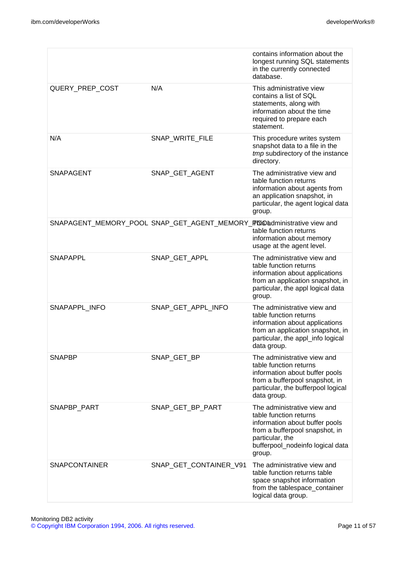|                      |                                                                         | contains information about the<br>longest running SQL statements<br>in the currently connected<br>database.                                                                                |
|----------------------|-------------------------------------------------------------------------|--------------------------------------------------------------------------------------------------------------------------------------------------------------------------------------------|
| QUERY PREP COST      | N/A                                                                     | This administrative view<br>contains a list of SQL<br>statements, along with<br>information about the time<br>required to prepare each<br>statement.                                       |
| N/A                  | SNAP_WRITE_FILE                                                         | This procedure writes system<br>snapshot data to a file in the<br>tmp subdirectory of the instance<br>directory.                                                                           |
| SNAPAGENT            | SNAP_GET_AGENT                                                          | The administrative view and<br>table function returns<br>information about agents from<br>an application snapshot, in<br>particular, the agent logical data<br>group.                      |
|                      | SNAPAGENT_MEMORY_POOL SNAP_GET_AGENT_MEMORY_FOO bdministrative view and | table function returns<br>information about memory<br>usage at the agent level.                                                                                                            |
| <b>SNAPAPPL</b>      | SNAP_GET_APPL                                                           | The administrative view and<br>table function returns<br>information about applications<br>from an application snapshot, in<br>particular, the appl logical data<br>group.                 |
| SNAPAPPL_INFO        | SNAP_GET_APPL_INFO                                                      | The administrative view and<br>table function returns<br>information about applications<br>from an application snapshot, in<br>particular, the appl_info logical<br>data group.            |
| <b>SNAPBP</b>        | SNAP_GET_BP                                                             | The administrative view and<br>table function returns<br>information about buffer pools<br>from a bufferpool snapshot, in<br>particular, the bufferpool logical<br>data group.             |
| SNAPBP PART          | SNAP_GET_BP_PART                                                        | The administrative view and<br>table function returns<br>information about buffer pools<br>from a bufferpool snapshot, in<br>particular, the<br>bufferpool_nodeinfo logical data<br>group. |
| <b>SNAPCONTAINER</b> | SNAP_GET_CONTAINER_V91                                                  | The administrative view and<br>table function returns table<br>space snapshot information<br>from the tablespace_container<br>logical data group.                                          |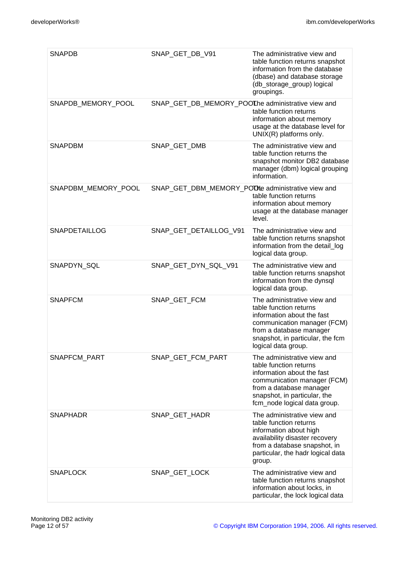| <b>SNAPDB</b>        | SNAP_GET_DB_V91                                   | The administrative view and<br>table function returns snapshot<br>information from the database<br>(dbase) and database storage<br>(db_storage_group) logical<br>groupings.                                   |
|----------------------|---------------------------------------------------|---------------------------------------------------------------------------------------------------------------------------------------------------------------------------------------------------------------|
| SNAPDB_MEMORY_POOL   | SNAP_GET_DB_MEMORY_POOLhe administrative view and | table function returns<br>information about memory<br>usage at the database level for<br>UNIX(R) platforms only.                                                                                              |
| <b>SNAPDBM</b>       | SNAP_GET_DMB                                      | The administrative view and<br>table function returns the<br>snapshot monitor DB2 database<br>manager (dbm) logical grouping<br>information.                                                                  |
| SNAPDBM_MEMORY_POOL  | SNAP_GET_DBM_MEMORY_POOLe administrative view and | table function returns<br>information about memory<br>usage at the database manager<br>level.                                                                                                                 |
| <b>SNAPDETAILLOG</b> | SNAP GET DETAILLOG V91                            | The administrative view and<br>table function returns snapshot<br>information from the detail_log<br>logical data group.                                                                                      |
| SNAPDYN_SQL          | SNAP_GET_DYN_SQL_V91                              | The administrative view and<br>table function returns snapshot<br>information from the dynsql<br>logical data group.                                                                                          |
| <b>SNAPFCM</b>       | SNAP_GET_FCM                                      | The administrative view and<br>table function returns<br>information about the fast<br>communication manager (FCM)<br>from a database manager<br>snapshot, in particular, the fcm<br>logical data group.      |
| <b>SNAPFCM PART</b>  | SNAP_GET_FCM_PART                                 | The administrative view and<br>table function returns<br>information about the fast<br>communication manager (FCM)<br>from a database manager<br>snapshot, in particular, the<br>fcm_node logical data group. |
| <b>SNAPHADR</b>      | SNAP GET HADR                                     | The administrative view and<br>table function returns<br>information about high<br>availability disaster recovery<br>from a database snapshot, in<br>particular, the hadr logical data<br>group.              |
| <b>SNAPLOCK</b>      | SNAP_GET_LOCK                                     | The administrative view and<br>table function returns snapshot<br>information about locks, in<br>particular, the lock logical data                                                                            |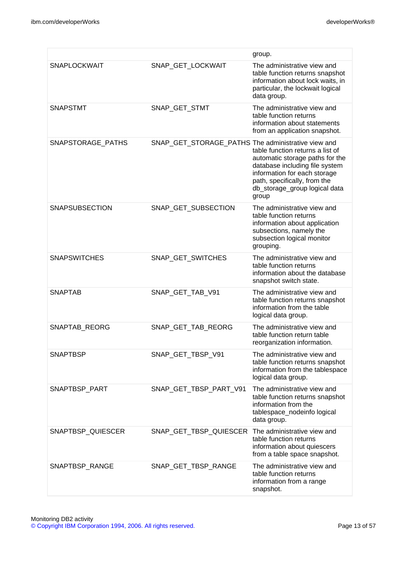|                       |                                                    | group.                                                                                                                                                                                                          |
|-----------------------|----------------------------------------------------|-----------------------------------------------------------------------------------------------------------------------------------------------------------------------------------------------------------------|
| <b>SNAPLOCKWAIT</b>   | SNAP_GET_LOCKWAIT                                  | The administrative view and<br>table function returns snapshot<br>information about lock waits, in<br>particular, the lockwait logical<br>data group.                                                           |
| <b>SNAPSTMT</b>       | SNAP_GET_STMT                                      | The administrative view and<br>table function returns<br>information about statements<br>from an application snapshot.                                                                                          |
| SNAPSTORAGE_PATHS     | SNAP_GET_STORAGE_PATHS The administrative view and | table function returns a list of<br>automatic storage paths for the<br>database including file system<br>information for each storage<br>path, specifically, from the<br>db_storage_group logical data<br>group |
| <b>SNAPSUBSECTION</b> | SNAP GET SUBSECTION                                | The administrative view and<br>table function returns<br>information about application<br>subsections, namely the<br>subsection logical monitor<br>grouping.                                                    |
| <b>SNAPSWITCHES</b>   | SNAP_GET_SWITCHES                                  | The administrative view and<br>table function returns<br>information about the database<br>snapshot switch state.                                                                                               |
| <b>SNAPTAB</b>        | SNAP_GET_TAB_V91                                   | The administrative view and<br>table function returns snapshot<br>information from the table<br>logical data group.                                                                                             |
| SNAPTAB_REORG         | SNAP GET TAB REORG                                 | The administrative view and<br>table function return table<br>reorganization information.                                                                                                                       |
| SNAPTBSP              | SNAP_GET_TBSP_V91                                  | The administrative view and<br>table function returns snapshot<br>information from the tablespace<br>logical data group.                                                                                        |
| SNAPTBSP_PART         | SNAP_GET_TBSP_PART_V91                             | The administrative view and<br>table function returns snapshot<br>information from the<br>tablespace_nodeinfo logical<br>data group.                                                                            |
| SNAPTBSP_QUIESCER     | SNAP_GET_TBSP_QUIESCER                             | The administrative view and<br>table function returns<br>information about quiescers<br>from a table space snapshot.                                                                                            |
| SNAPTBSP_RANGE        | SNAP_GET_TBSP_RANGE                                | The administrative view and<br>table function returns<br>information from a range<br>snapshot.                                                                                                                  |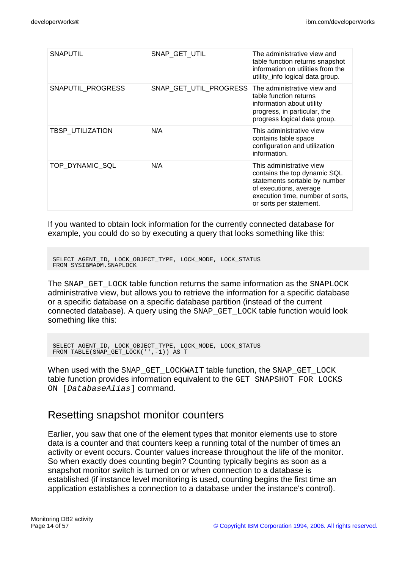| SNAP GET UTIL          | The administrative view and<br>table function returns snapshot<br>information on utilities from the<br>utility_info logical data group.                                            |
|------------------------|------------------------------------------------------------------------------------------------------------------------------------------------------------------------------------|
| SNAP_GET_UTIL_PROGRESS | The administrative view and<br>table function returns<br>information about utility<br>progress, in particular, the<br>progress logical data group.                                 |
| N/A                    | This administrative view<br>contains table space<br>configuration and utilization<br>information.                                                                                  |
| N/A                    | This administrative view<br>contains the top dynamic SQL<br>statements sortable by number<br>of executions, average<br>execution time, number of sorts,<br>or sorts per statement. |
|                        |                                                                                                                                                                                    |

If you wanted to obtain lock information for the currently connected database for example, you could do so by executing a query that looks something like this:

```
SELECT AGENT_ID, LOCK_OBJECT_TYPE, LOCK_MODE, LOCK_STATUS
FROM SYSIBMADM.SNAPLOCK
```
The SNAP GET LOCK table function returns the same information as the SNAPLOCK administrative view, but allows you to retrieve the information for a specific database or a specific database on a specific database partition (instead of the current connected database). A query using the SNAP\_GET\_LOCK table function would look something like this:

```
SELECT AGENT_ID, LOCK_OBJECT_TYPE, LOCK_MODE, LOCK_STATUS
FROM TABLE(SNAP_GET_LOCK('',-1)) AS T
```
When used with the SNAP\_GET\_LOCKWAIT table function, the SNAP\_GET\_LOCK table function provides information equivalent to the GET SNAPSHOT FOR LOCKS ON [DatabaseAlias] command.

### Resetting snapshot monitor counters

Earlier, you saw that one of the element types that monitor elements use to store data is a counter and that counters keep a running total of the number of times an activity or event occurs. Counter values increase throughout the life of the monitor. So when exactly does counting begin? Counting typically begins as soon as a snapshot monitor switch is turned on or when connection to a database is established (if instance level monitoring is used, counting begins the first time an application establishes a connection to a database under the instance's control).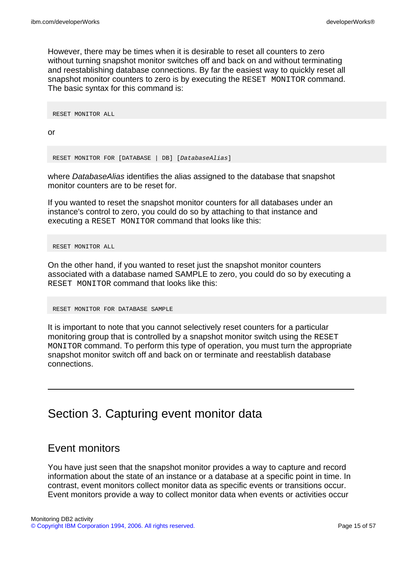However, there may be times when it is desirable to reset all counters to zero without turning snapshot monitor switches off and back on and without terminating and reestablishing database connections. By far the easiest way to quickly reset all snapshot monitor counters to zero is by executing the RESET MONITOR command. The basic syntax for this command is:

RESET MONITOR ALL

or

RESET MONITOR FOR [DATABASE | DB] [DatabaseAlias]

where DatabaseAlias identifies the alias assigned to the database that snapshot monitor counters are to be reset for.

If you wanted to reset the snapshot monitor counters for all databases under an instance's control to zero, you could do so by attaching to that instance and executing a RESET MONITOR command that looks like this:

RESET MONITOR ALL

On the other hand, if you wanted to reset just the snapshot monitor counters associated with a database named SAMPLE to zero, you could do so by executing a RESET MONITOR command that looks like this:

RESET MONITOR FOR DATABASE SAMPLE

It is important to note that you cannot selectively reset counters for a particular monitoring group that is controlled by a snapshot monitor switch using the RESET MONITOR command. To perform this type of operation, you must turn the appropriate snapshot monitor switch off and back on or terminate and reestablish database connections.

Section 3. Capturing event monitor data

### Event monitors

You have just seen that the snapshot monitor provides a way to capture and record information about the state of an instance or a database at a specific point in time. In contrast, event monitors collect monitor data as specific events or transitions occur. Event monitors provide a way to collect monitor data when events or activities occur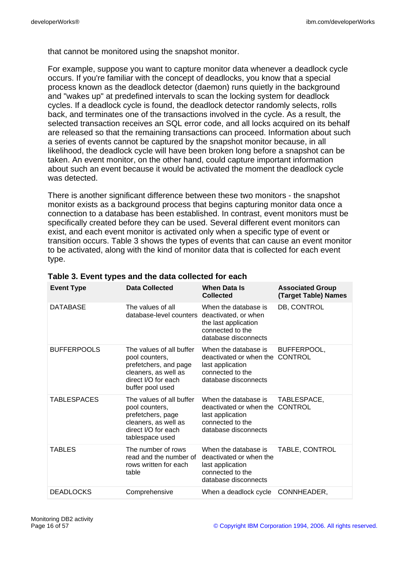that cannot be monitored using the snapshot monitor.

For example, suppose you want to capture monitor data whenever a deadlock cycle occurs. If you're familiar with the concept of deadlocks, you know that a special process known as the deadlock detector (daemon) runs quietly in the background and "wakes up" at predefined intervals to scan the locking system for deadlock cycles. If a deadlock cycle is found, the deadlock detector randomly selects, rolls back, and terminates one of the transactions involved in the cycle. As a result, the selected transaction receives an SQL error code, and all locks acquired on its behalf are released so that the remaining transactions can proceed. Information about such a series of events cannot be captured by the snapshot monitor because, in all likelihood, the deadlock cycle will have been broken long before a snapshot can be taken. An event monitor, on the other hand, could capture important information about such an event because it would be activated the moment the deadlock cycle was detected.

There is another significant difference between these two monitors - the snapshot monitor exists as a background process that begins capturing monitor data once a connection to a database has been established. In contrast, event monitors must be specifically created before they can be used. Several different event monitors can exist, and each event monitor is activated only when a specific type of event or transition occurs. Table 3 shows the types of events that can cause an event monitor to be activated, along with the kind of monitor data that is collected for each event type.

| <b>Event Type</b>  | <b>Data Collected</b>                                                                                                                  | <b>When Data Is</b><br><b>Collected</b>                                                                                 | <b>Associated Group</b><br>(Target Table) Names |
|--------------------|----------------------------------------------------------------------------------------------------------------------------------------|-------------------------------------------------------------------------------------------------------------------------|-------------------------------------------------|
| <b>DATABASE</b>    | The values of all<br>database-level counters                                                                                           | When the database is<br>deactivated, or when<br>the last application<br>connected to the<br>database disconnects        | DB, CONTROL                                     |
| <b>BUFFERPOOLS</b> | The values of all buffer<br>pool counters,<br>prefetchers, and page<br>cleaners, as well as<br>direct I/O for each<br>buffer pool used | When the database is<br>deactivated or when the CONTROL<br>last application<br>connected to the<br>database disconnects | BUFFERPOOL,                                     |
| TABLESPACES        | The values of all buffer<br>pool counters,<br>prefetchers, page<br>cleaners, as well as<br>direct I/O for each<br>tablespace used      | When the database is<br>deactivated or when the<br>last application<br>connected to the<br>database disconnects         | TABLESPACE,<br><b>CONTROL</b>                   |
| TABLES             | The number of rows<br>read and the number of<br>rows written for each<br>table                                                         | When the database is<br>deactivated or when the<br>last application<br>connected to the<br>database disconnects         | TABLE, CONTROL                                  |
| <b>DEADLOCKS</b>   | Comprehensive                                                                                                                          | When a deadlock cycle                                                                                                   | CONNHEADER,                                     |

| Table 3. Event types and the data collected for each |  |  |  |
|------------------------------------------------------|--|--|--|
|------------------------------------------------------|--|--|--|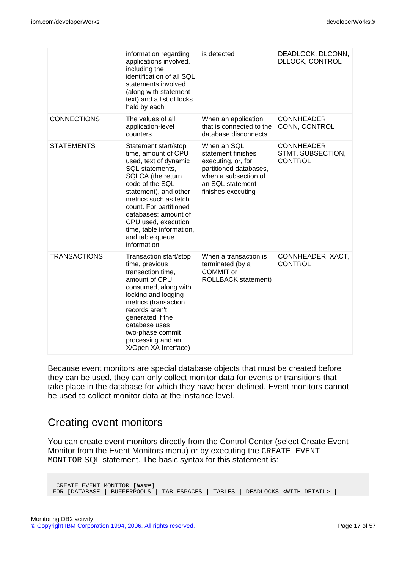|                     | information regarding<br>applications involved,<br>including the<br>identification of all SQL<br>statements involved<br>(along with statement<br>text) and a list of locks<br>held by each                                                                                                                               | is detected                                                                                                                                         | DEADLOCK, DLCONN,<br><b>DLLOCK, CONTROL</b>        |
|---------------------|--------------------------------------------------------------------------------------------------------------------------------------------------------------------------------------------------------------------------------------------------------------------------------------------------------------------------|-----------------------------------------------------------------------------------------------------------------------------------------------------|----------------------------------------------------|
| <b>CONNECTIONS</b>  | The values of all<br>application-level<br>counters                                                                                                                                                                                                                                                                       | When an application<br>that is connected to the<br>database disconnects                                                                             | CONNHEADER,<br>CONN, CONTROL                       |
| <b>STATEMENTS</b>   | Statement start/stop<br>time, amount of CPU<br>used, text of dynamic<br>SQL statements,<br>SQLCA (the return<br>code of the SQL<br>statement), and other<br>metrics such as fetch<br>count. For partitioned<br>databases: amount of<br>CPU used, execution<br>time, table information,<br>and table queue<br>information | When an SQL<br>statement finishes<br>executing, or, for<br>partitioned databases,<br>when a subsection of<br>an SQL statement<br>finishes executing | CONNHEADER,<br>STMT, SUBSECTION,<br><b>CONTROL</b> |
| <b>TRANSACTIONS</b> | Transaction start/stop<br>time, previous<br>transaction time,<br>amount of CPU<br>consumed, along with<br>locking and logging<br>metrics (transaction<br>records aren't<br>generated if the<br>database uses<br>two-phase commit<br>processing and an<br>X/Open XA Interface)                                            | When a transaction is<br>terminated (by a<br>COMMIT or<br><b>ROLLBACK statement)</b>                                                                | CONNHEADER, XACT,<br><b>CONTROL</b>                |

Because event monitors are special database objects that must be created before they can be used, they can only collect monitor data for events or transitions that take place in the database for which they have been defined. Event monitors cannot be used to collect monitor data at the instance level.

### Creating event monitors

You can create event monitors directly from the Control Center (select Create Event Monitor from the Event Monitors menu) or by executing the CREATE EVENT MONITOR SQL statement. The basic syntax for this statement is:

CREATE EVENT MONITOR [Name] FOR [DATABASE | BUFFERPOOLS | TABLESPACES | TABLES | DEADLOCKS <WITH DETAIL> |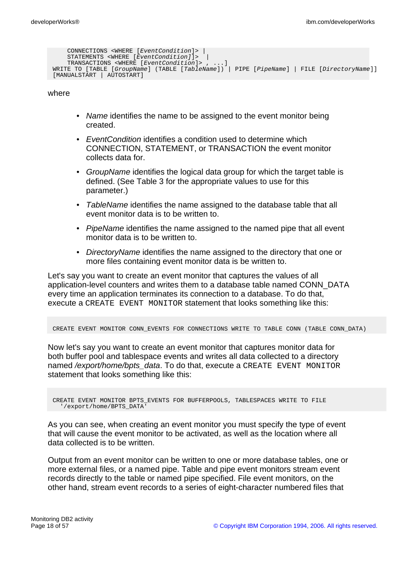```
CONNECTIONS <WHERE [EventCondition]> |
    STATEMENTS <WHERE [EventCondition]]> |
    TRANSACTIONS <WHERE [EventCondition]> , ...]
WRITE TO [TABLE [GroupName] (TABLE [TableName]) | PIPE [PipeName] | FILE [DirectoryName]]
[MANUALSTART | AUTOSTART]
```
where

- Name identifies the name to be assigned to the event monitor being created.
- Event Condition identifies a condition used to determine which CONNECTION, STATEMENT, or TRANSACTION the event monitor collects data for.
- GroupName identifies the logical data group for which the target table is defined. (See Table 3 for the appropriate values to use for this parameter.)
- TableName identifies the name assigned to the database table that all event monitor data is to be written to.
- PipeName identifies the name assigned to the named pipe that all event monitor data is to be written to.
- DirectoryName identifies the name assigned to the directory that one or more files containing event monitor data is be written to.

Let's say you want to create an event monitor that captures the values of all application-level counters and writes them to a database table named CONN\_DATA every time an application terminates its connection to a database. To do that, execute a CREATE EVENT MONITOR statement that looks something like this:

CREATE EVENT MONITOR CONN\_EVENTS FOR CONNECTIONS WRITE TO TABLE CONN (TABLE CONN\_DATA)

Now let's say you want to create an event monitor that captures monitor data for both buffer pool and tablespace events and writes all data collected to a directory named /export/home/bpts\_data. To do that, execute a CREATE EVENT MONITOR statement that looks something like this:

```
CREATE EVENT MONITOR BPTS_EVENTS FOR BUFFERPOOLS, TABLESPACES WRITE TO FILE
  '/export/home/BPTS_DATA'
```
As you can see, when creating an event monitor you must specify the type of event that will cause the event monitor to be activated, as well as the location where all data collected is to be written.

Output from an event monitor can be written to one or more database tables, one or more external files, or a named pipe. Table and pipe event monitors stream event records directly to the table or named pipe specified. File event monitors, on the other hand, stream event records to a series of eight-character numbered files that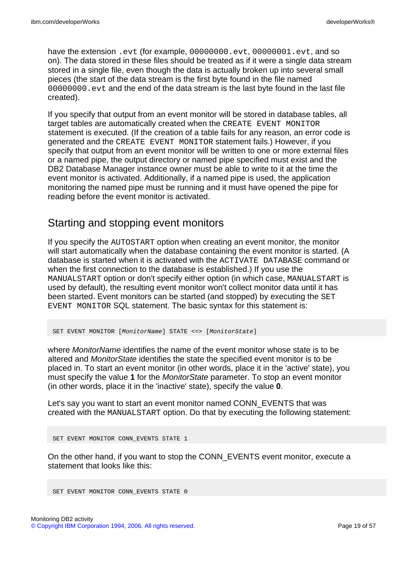have the extension .evt (for example, 00000000.evt, 00000001.evt, and so on). The data stored in these files should be treated as if it were a single data stream stored in a single file, even though the data is actually broken up into several small pieces (the start of the data stream is the first byte found in the file named 00000000.evt and the end of the data stream is the last byte found in the last file created).

If you specify that output from an event monitor will be stored in database tables, all target tables are automatically created when the CREATE EVENT MONITOR statement is executed. (If the creation of a table fails for any reason, an error code is generated and the CREATE EVENT MONITOR statement fails.) However, if you specify that output from an event monitor will be written to one or more external files or a named pipe, the output directory or named pipe specified must exist and the DB2 Database Manager instance owner must be able to write to it at the time the event monitor is activated. Additionally, if a named pipe is used, the application monitoring the named pipe must be running and it must have opened the pipe for reading before the event monitor is activated.

### Starting and stopping event monitors

If you specify the AUTOSTART option when creating an event monitor, the monitor will start automatically when the database containing the event monitor is started. (A database is started when it is activated with the ACTIVATE DATABASE command or when the first connection to the database is established.) If you use the MANUALSTART option or don't specify either option (in which case, MANUALSTART is used by default), the resulting event monitor won't collect monitor data until it has been started. Event monitors can be started (and stopped) by executing the SET EVENT MONITOR SQL statement. The basic syntax for this statement is:

SET EVENT MONITOR [MonitorName] STATE <=> [MonitorState]

where *MonitorName* identifies the name of the event monitor whose state is to be altered and MonitorState identifies the state the specified event monitor is to be placed in. To start an event monitor (in other words, place it in the 'active' state), you must specify the value **1** for the MonitorState parameter. To stop an event monitor (in other words, place it in the 'inactive' state), specify the value **0**.

Let's say you want to start an event monitor named CONN\_EVENTS that was created with the MANUALSTART option. Do that by executing the following statement:

SET EVENT MONITOR CONN\_EVENTS STATE 1

On the other hand, if you want to stop the CONN\_EVENTS event monitor, execute a statement that looks like this:

SET EVENT MONITOR CONN EVENTS STATE 0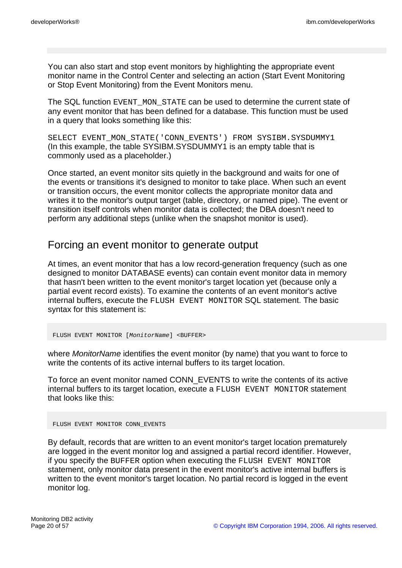You can also start and stop event monitors by highlighting the appropriate event monitor name in the Control Center and selecting an action (Start Event Monitoring or Stop Event Monitoring) from the Event Monitors menu.

The SQL function EVENT\_MON\_STATE can be used to determine the current state of any event monitor that has been defined for a database. This function must be used in a query that looks something like this:

SELECT EVENT\_MON\_STATE('CONN\_EVENTS') FROM SYSIBM.SYSDUMMY1 (In this example, the table SYSIBM.SYSDUMMY1 is an empty table that is commonly used as a placeholder.)

Once started, an event monitor sits quietly in the background and waits for one of the events or transitions it's designed to monitor to take place. When such an event or transition occurs, the event monitor collects the appropriate monitor data and writes it to the monitor's output target (table, directory, or named pipe). The event or transition itself controls when monitor data is collected; the DBA doesn't need to perform any additional steps (unlike when the snapshot monitor is used).

### Forcing an event monitor to generate output

At times, an event monitor that has a low record-generation frequency (such as one designed to monitor DATABASE events) can contain event monitor data in memory that hasn't been written to the event monitor's target location yet (because only a partial event record exists). To examine the contents of an event monitor's active internal buffers, execute the FLUSH EVENT MONITOR SQL statement. The basic syntax for this statement is:

FLUSH EVENT MONITOR [MonitorName] <BUFFER>

where *MonitorName* identifies the event monitor (by name) that you want to force to write the contents of its active internal buffers to its target location.

To force an event monitor named CONN\_EVENTS to write the contents of its active internal buffers to its target location, execute a FLUSH EVENT MONITOR statement that looks like this:

FLUSH EVENT MONITOR CONN\_EVENTS

By default, records that are written to an event monitor's target location prematurely are logged in the event monitor log and assigned a partial record identifier. However, if you specify the BUFFER option when executing the FLUSH EVENT MONITOR statement, only monitor data present in the event monitor's active internal buffers is written to the event monitor's target location. No partial record is logged in the event monitor log.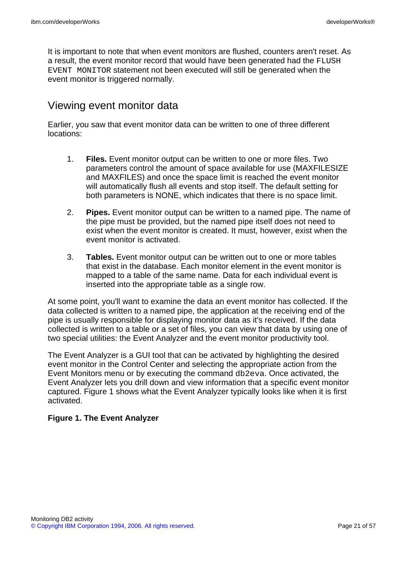It is important to note that when event monitors are flushed, counters aren't reset. As a result, the event monitor record that would have been generated had the FLUSH EVENT MONITOR statement not been executed will still be generated when the event monitor is triggered normally.

### Viewing event monitor data

Earlier, you saw that event monitor data can be written to one of three different locations:

- 1. **Files.** Event monitor output can be written to one or more files. Two parameters control the amount of space available for use (MAXFILESIZE and MAXFILES) and once the space limit is reached the event monitor will automatically flush all events and stop itself. The default setting for both parameters is NONE, which indicates that there is no space limit.
- 2. **Pipes.** Event monitor output can be written to a named pipe. The name of the pipe must be provided, but the named pipe itself does not need to exist when the event monitor is created. It must, however, exist when the event monitor is activated.
- 3. **Tables.** Event monitor output can be written out to one or more tables that exist in the database. Each monitor element in the event monitor is mapped to a table of the same name. Data for each individual event is inserted into the appropriate table as a single row.

At some point, you'll want to examine the data an event monitor has collected. If the data collected is written to a named pipe, the application at the receiving end of the pipe is usually responsible for displaying monitor data as it's received. If the data collected is written to a table or a set of files, you can view that data by using one of two special utilities: the Event Analyzer and the event monitor productivity tool.

The Event Analyzer is a GUI tool that can be activated by highlighting the desired event monitor in the Control Center and selecting the appropriate action from the Event Monitors menu or by executing the command db2eva. Once activated, the Event Analyzer lets you drill down and view information that a specific event monitor captured. Figure 1 shows what the Event Analyzer typically looks like when it is first activated.

#### **Figure 1. The Event Analyzer**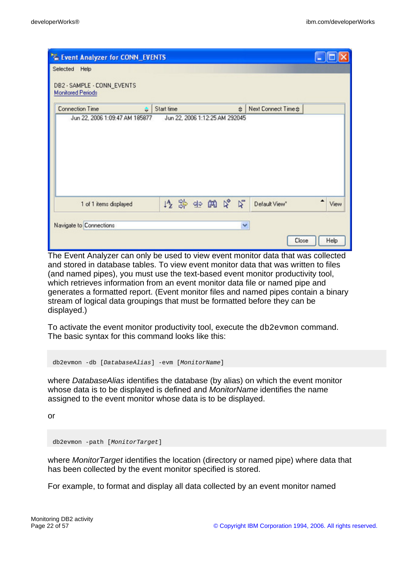| "E Event Analyzer for CONN_EVENTS<br>Selected<br>Help  |                                |                          |           |
|--------------------------------------------------------|--------------------------------|--------------------------|-----------|
| DB2 - SAMPLE - CONN_EVENTS<br><b>Monitored Periods</b> |                                |                          |           |
| <b>Connection Time</b><br>÷                            | Start time                     | Next Connect Time #<br>€ |           |
| Jun 22, 2006 1:09:47 AM 185877                         | Jun 22, 2006 1:12:25 AM 292045 |                          |           |
| 1 of 1 items displayed                                 | 修築西的兄弟                         | Default View"            | ▲<br>View |
| Navigate to Connections                                |                                | $\checkmark$             |           |
|                                                        |                                | Close                    | Help      |

The Event Analyzer can only be used to view event monitor data that was collected and stored in database tables. To view event monitor data that was written to files (and named pipes), you must use the text-based event monitor productivity tool, which retrieves information from an event monitor data file or named pipe and generates a formatted report. (Event monitor files and named pipes contain a binary stream of logical data groupings that must be formatted before they can be displayed.)

To activate the event monitor productivity tool, execute the db2evmon command. The basic syntax for this command looks like this:

```
db2evmon -db [DatabaseAlias] -evm [MonitorName]
```
where *DatabaseAlias* identifies the database (by alias) on which the event monitor whose data is to be displayed is defined and *MonitorName* identifies the name assigned to the event monitor whose data is to be displayed.

or

db2evmon -path [MonitorTarget]

where *MonitorTarget* identifies the location (directory or named pipe) where data that has been collected by the event monitor specified is stored.

For example, to format and display all data collected by an event monitor named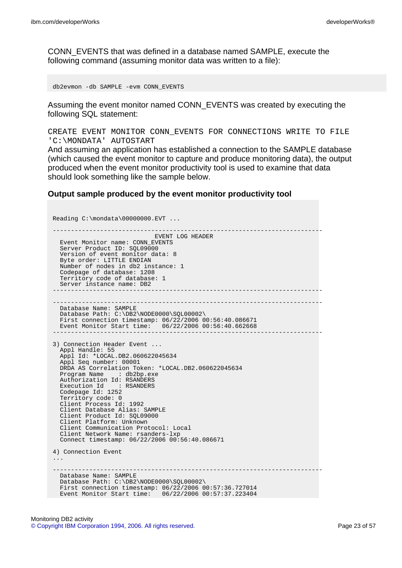CONN\_EVENTS that was defined in a database named SAMPLE, execute the following command (assuming monitor data was written to a file):

db2evmon -db SAMPLE -evm CONN\_EVENTS

Assuming the event monitor named CONN\_EVENTS was created by executing the following SQL statement:

CREATE EVENT MONITOR CONN\_EVENTS FOR CONNECTIONS WRITE TO FILE 'C:\MONDATA' AUTOSTART

And assuming an application has established a connection to the SAMPLE database (which caused the event monitor to capture and produce monitoring data), the output produced when the event monitor productivity tool is used to examine that data should look something like the sample below.

#### **Output sample produced by the event monitor productivity tool**

Reading C:\mondata\00000000.EVT ... -------------------------------------------------------------------------- EVENT LOG HEADER Event Monitor name: CONN\_EVENTS Server Product ID:  $SOL09000$ Version of event monitor data: 8 Byte order: LITTLE ENDIAN Number of nodes in db2 instance: 1 Codepage of database: 1208 Territory code of database: 1 Server instance name: DB2 -------------------------------------------------------------------------- -------------------------------------------------------------------------- Database Name: SAMPLE Database Path: C:\DB2\NODE0000\SQL00002\ First connection timestamp: 06/22/2006 00:56:40.086671 Event Monitor Start time: 06/22/2006 00:56:40.662668 -------------------------------------------------------------------------- 3) Connection Header Event ... Appl Handle: 55 Appl Id: \*LOCAL.DB2.060622045634 Appl Seq number: 00001 DRDA AS Correlation Token: \*LOCAL.DB2.060622045634 : db2bp.exe Authorization Id: RSANDERS Execution Id : RSANDERS Codepage Id: 1252 Territory code: 0 Client Process Id: 1992 Client Database Alias: SAMPLE Client Product Id: SQL09000 Client Platform: Unknown Client Communication Protocol: Local Client Network Name: rsanders-lxp Connect timestamp: 06/22/2006 00:56:40.086671 4) Connection Event ... -------------------------------------------------------------------------- Database Name: SAMPLE Database Path: C:\DB2\NODE0000\SQL00002\ First connection timestamp: 06/22/2006 00:57:36.727014 Event Monitor Start time: 06/22/2006 00:57:37.223404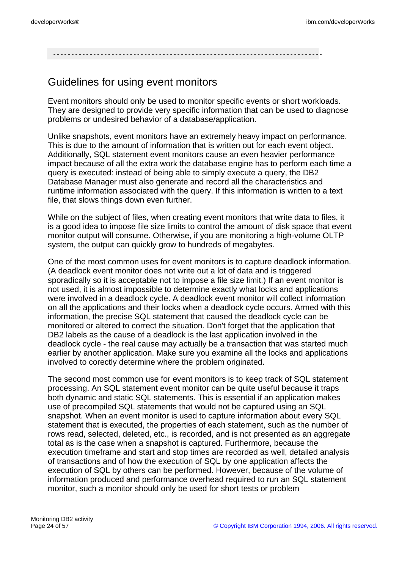--------------------------------------------------------------------------

## Guidelines for using event monitors

Event monitors should only be used to monitor specific events or short workloads. They are designed to provide very specific information that can be used to diagnose problems or undesired behavior of a database/application.

Unlike snapshots, event monitors have an extremely heavy impact on performance. This is due to the amount of information that is written out for each event object. Additionally, SQL statement event monitors cause an even heavier performance impact because of all the extra work the database engine has to perform each time a query is executed: instead of being able to simply execute a query, the DB2 Database Manager must also generate and record all the characteristics and runtime information associated with the query. If this information is written to a text file, that slows things down even further.

While on the subject of files, when creating event monitors that write data to files, it is a good idea to impose file size limits to control the amount of disk space that event monitor output will consume. Otherwise, if you are monitoring a high-volume OLTP system, the output can quickly grow to hundreds of megabytes.

One of the most common uses for event monitors is to capture deadlock information. (A deadlock event monitor does not write out a lot of data and is triggered sporadically so it is acceptable not to impose a file size limit.) If an event monitor is not used, it is almost impossible to determine exactly what locks and applications were involved in a deadlock cycle. A deadlock event monitor will collect information on all the applications and their locks when a deadlock cycle occurs. Armed with this information, the precise SQL statement that caused the deadlock cycle can be monitored or altered to correct the situation. Don't forget that the application that DB2 labels as the cause of a deadlock is the last application involved in the deadlock cycle - the real cause may actually be a transaction that was started much earlier by another application. Make sure you examine all the locks and applications involved to corectly determine where the problem originated.

The second most common use for event monitors is to keep track of SQL statement processing. An SQL statement event monitor can be quite useful because it traps both dynamic and static SQL statements. This is essential if an application makes use of precompiled SQL statements that would not be captured using an SQL snapshot. When an event monitor is used to capture information about every SQL statement that is executed, the properties of each statement, such as the number of rows read, selected, deleted, etc., is recorded, and is not presented as an aggregate total as is the case when a snapshot is captured. Furthermore, because the execution timeframe and start and stop times are recorded as well, detailed analysis of transactions and of how the execution of SQL by one application affects the execution of SQL by others can be performed. However, because of the volume of information produced and performance overhead required to run an SQL statement monitor, such a monitor should only be used for short tests or problem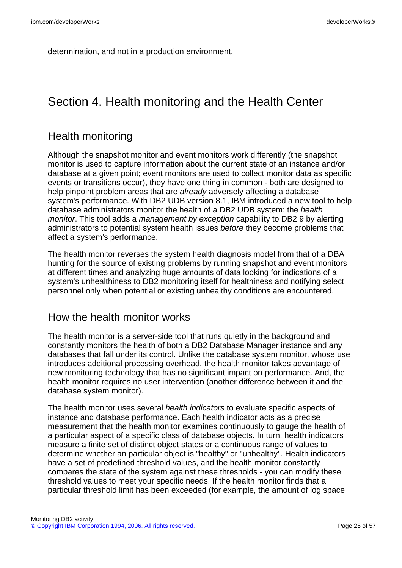determination, and not in a production environment.

# Section 4. Health monitoring and the Health Center

## Health monitoring

Although the snapshot monitor and event monitors work differently (the snapshot monitor is used to capture information about the current state of an instance and/or database at a given point; event monitors are used to collect monitor data as specific events or transitions occur), they have one thing in common - both are designed to help pinpoint problem areas that are already adversely affecting a database system's performance. With DB2 UDB version 8.1, IBM introduced a new tool to help database administrators monitor the health of a DB2 UDB system: the health monitor. This tool adds a management by exception capability to DB2 9 by alerting administrators to potential system health issues before they become problems that affect a system's performance.

The health monitor reverses the system health diagnosis model from that of a DBA hunting for the source of existing problems by running snapshot and event monitors at different times and analyzing huge amounts of data looking for indications of a system's unhealthiness to DB2 monitoring itself for healthiness and notifying select personnel only when potential or existing unhealthy conditions are encountered.

### How the health monitor works

The health monitor is a server-side tool that runs quietly in the background and constantly monitors the health of both a DB2 Database Manager instance and any databases that fall under its control. Unlike the database system monitor, whose use introduces additional processing overhead, the health monitor takes advantage of new monitoring technology that has no significant impact on performance. And, the health monitor requires no user intervention (another difference between it and the database system monitor).

The health monitor uses several health indicators to evaluate specific aspects of instance and database performance. Each health indicator acts as a precise measurement that the health monitor examines continuously to gauge the health of a particular aspect of a specific class of database objects. In turn, health indicators measure a finite set of distinct object states or a continuous range of values to determine whether an particular object is "healthy" or "unhealthy". Health indicators have a set of predefined threshold values, and the health monitor constantly compares the state of the system against these thresholds - you can modify these threshold values to meet your specific needs. If the health monitor finds that a particular threshold limit has been exceeded (for example, the amount of log space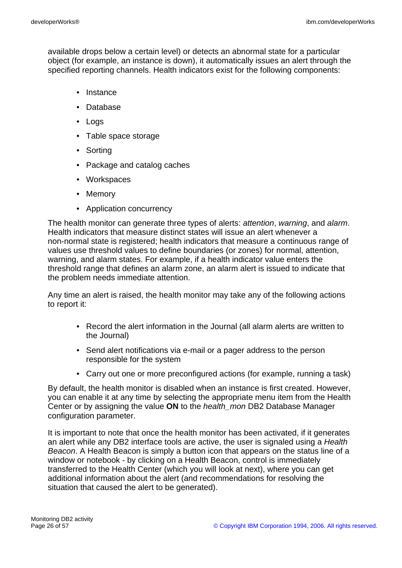available drops below a certain level) or detects an abnormal state for a particular object (for example, an instance is down), it automatically issues an alert through the specified reporting channels. Health indicators exist for the following components:

- Instance
- Database
- Logs
- Table space storage
- Sorting
- Package and catalog caches
- Workspaces
- Memory
- Application concurrency

The health monitor can generate three types of alerts: attention, warning, and alarm. Health indicators that measure distinct states will issue an alert whenever a non-normal state is registered; health indicators that measure a continuous range of values use threshold values to define boundaries (or zones) for normal, attention, warning, and alarm states. For example, if a health indicator value enters the threshold range that defines an alarm zone, an alarm alert is issued to indicate that the problem needs immediate attention.

Any time an alert is raised, the health monitor may take any of the following actions to report it:

- Record the alert information in the Journal (all alarm alerts are written to the Journal)
- Send alert notifications via e-mail or a pager address to the person responsible for the system
- Carry out one or more preconfigured actions (for example, running a task)

By default, the health monitor is disabled when an instance is first created. However, you can enable it at any time by selecting the appropriate menu item from the Health Center or by assigning the value **ON** to the health\_mon DB2 Database Manager configuration parameter.

It is important to note that once the health monitor has been activated, if it generates an alert while any DB2 interface tools are active, the user is signaled using a Health Beacon. A Health Beacon is simply a button icon that appears on the status line of a window or notebook - by clicking on a Health Beacon, control is immediately transferred to the Health Center (which you will look at next), where you can get additional information about the alert (and recommendations for resolving the situation that caused the alert to be generated).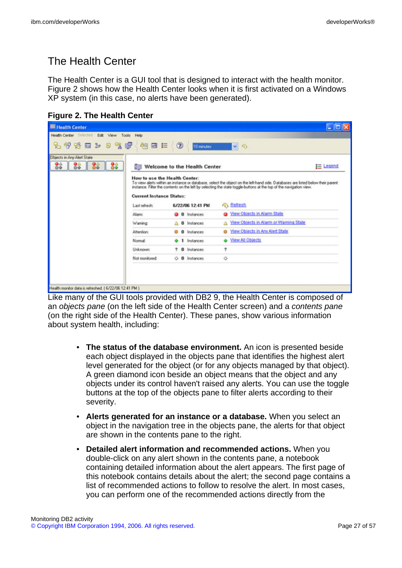# The Health Center

The Health Center is a GUI tool that is designed to interact with the health monitor. Figure 2 shows how the Health Center looks when it is first activated on a Windows XP system (in this case, no alerts have been generated).

| <b>Figure 2. The Health Center</b> |  |  |  |
|------------------------------------|--|--|--|
|------------------------------------|--|--|--|

| <b>ER Health Center</b>                                |                                                  |                              |                                                                                                                                                                                                                                                                         |            |
|--------------------------------------------------------|--------------------------------------------------|------------------------------|-------------------------------------------------------------------------------------------------------------------------------------------------------------------------------------------------------------------------------------------------------------------------|------------|
| Health Center Sciected Edit View Tools Help            |                                                  |                              |                                                                                                                                                                                                                                                                         |            |
| も が 谷 曰 ン っ す 卓                                        | 创画目                                              | $\circ$<br>10 minutes        | $\sim$ 0                                                                                                                                                                                                                                                                |            |
| Objects in Any Alert State                             |                                                  |                              |                                                                                                                                                                                                                                                                         |            |
| 88<br>88<br>88                                         |                                                  | Welcome to the Health Center |                                                                                                                                                                                                                                                                         | $E$ Legend |
|                                                        | <b>Current Instance Status:</b><br>Last refresh: | 6/22/06 12:41 PM             | To view alerts within an instance or database, select the object on the left-hand side. Databases are listed below their parent<br>instance. Filter the contents on the left by selecting the state toggle-buttons at the top of the navigation view.<br><b>Refresh</b> |            |
|                                                        | <b>Alam</b>                                      | <b>Q</b> 0 Instances         | Wew Objects in Alarm State                                                                                                                                                                                                                                              |            |
|                                                        | Warning:                                         | 0 Instances<br>Δ             | View Objects in Alarm or Warning State<br>Δ                                                                                                                                                                                                                             |            |
|                                                        | <b>Attention:</b>                                | <b>0</b> Instances<br>۰      | View Objects in Any Alert State<br>۰                                                                                                                                                                                                                                    |            |
|                                                        | Normal:                                          | 1 Instances                  | S View All Objects                                                                                                                                                                                                                                                      |            |
|                                                        | Unknown:                                         | <b>0</b> Instances           | Ť                                                                                                                                                                                                                                                                       |            |
|                                                        | Not monitored:                                   | O <b>0</b> Instances         | ♦                                                                                                                                                                                                                                                                       |            |
|                                                        |                                                  |                              |                                                                                                                                                                                                                                                                         |            |
|                                                        |                                                  |                              |                                                                                                                                                                                                                                                                         |            |
| Health monitor data is refreshed. [ 6/22/06 12:41 PM ] |                                                  |                              |                                                                                                                                                                                                                                                                         |            |
|                                                        |                                                  |                              |                                                                                                                                                                                                                                                                         |            |

Like many of the GUI tools provided with DB2 9, the Health Center is composed of an objects pane (on the left side of the Health Center screen) and a contents pane (on the right side of the Health Center). These panes, show various information about system health, including:

- **The status of the database environment.** An icon is presented beside each object displayed in the objects pane that identifies the highest alert level generated for the object (or for any objects managed by that object). A green diamond icon beside an object means that the object and any objects under its control haven't raised any alerts. You can use the toggle buttons at the top of the objects pane to filter alerts according to their severity.
- **Alerts generated for an instance or a database.** When you select an object in the navigation tree in the objects pane, the alerts for that object are shown in the contents pane to the right.
- **Detailed alert information and recommended actions.** When you double-click on any alert shown in the contents pane, a notebook containing detailed information about the alert appears. The first page of this notebook contains details about the alert; the second page contains a list of recommended actions to follow to resolve the alert. In most cases, you can perform one of the recommended actions directly from the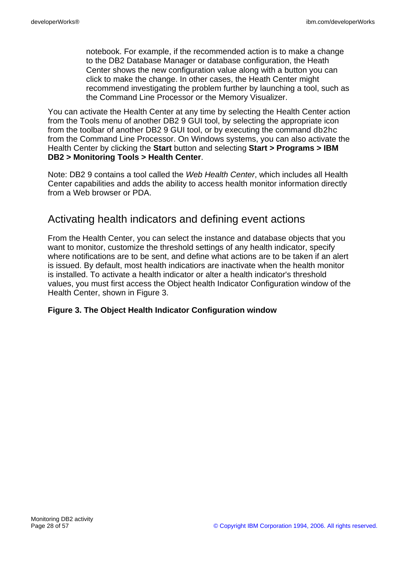notebook. For example, if the recommended action is to make a change to the DB2 Database Manager or database configuration, the Heath Center shows the new configuration value along with a button you can click to make the change. In other cases, the Heath Center might recommend investigating the problem further by launching a tool, such as the Command Line Processor or the Memory Visualizer.

You can activate the Health Center at any time by selecting the Health Center action from the Tools menu of another DB2 9 GUI tool, by selecting the appropriate icon from the toolbar of another DB2 9 GUI tool, or by executing the command db2hc from the Command Line Processor. On Windows systems, you can also activate the Health Center by clicking the **Start** button and selecting **Start > Programs > IBM DB2 > Monitoring Tools > Health Center**.

Note: DB2 9 contains a tool called the Web Health Center, which includes all Health Center capabilities and adds the ability to access health monitor information directly from a Web browser or PDA.

## Activating health indicators and defining event actions

From the Health Center, you can select the instance and database objects that you want to monitor, customize the threshold settings of any health indicator, specify where notifications are to be sent, and define what actions are to be taken if an alert is issued. By default, most health indicatiors are inactivate when the health monitor is installed. To activate a health indicator or alter a health indicator's threshold values, you must first access the Object health Indicator Configuration window of the Health Center, shown in Figure 3.

#### **Figure 3. The Object Health Indicator Configuration window**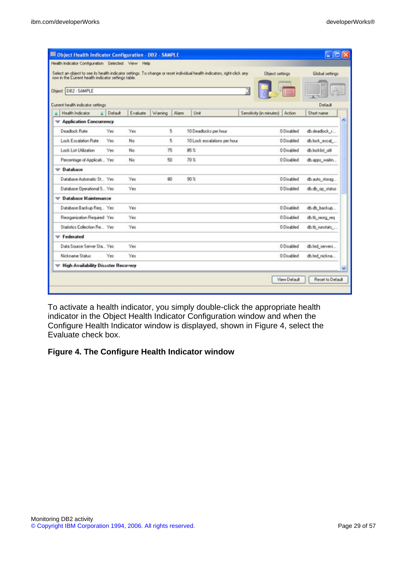| row in the Current health indicator settings table. |         |          |         |      | Select an object to see its health indicator settings. To change or reset individual health indicators, right-click any | Übject settings                 |            | Global settings  |
|-----------------------------------------------------|---------|----------|---------|------|-------------------------------------------------------------------------------------------------------------------------|---------------------------------|------------|------------------|
| Object   DB2 - SAMPLE                               |         |          |         |      |                                                                                                                         |                                 |            |                  |
| Current health indicator settings                   |         |          |         |      |                                                                                                                         |                                 |            | Default          |
| Health Indicator                                    | Default | Evaluate | Warning | Alam | Unit                                                                                                                    | Sensitivity (in minutes) Action |            | Short name       |
| Application Concurrency                             |         |          |         |      |                                                                                                                         |                                 |            |                  |
| Deadock Rate                                        | Yes     | Yes      |         | 5    | 10 Deadlocks per hour                                                                                                   |                                 | 0 Disabled | db.deadlock r    |
| Lock Escalation Rate                                | Yes     | No       |         | 5    | 10 Lock escalations per hour                                                                                            |                                 | 0 Disabled | db.lock_escal    |
| Lock List Utilization                               | Yes     | No       | 75      |      | 85.7                                                                                                                    |                                 | 0 Disabled | db.locklist_util |
| Percentage of Applicati Yes                         |         | No.      | 50      |      | 70%                                                                                                                     |                                 | 0 Disabled | db.apps_waitin   |
| $\nabla$ Database                                   |         |          |         |      |                                                                                                                         |                                 |            |                  |
| Database Automatic St., Yes                         |         | Yes      | 80      |      | 90 <sup>2</sup>                                                                                                         |                                 | 0 Disabled | db.auto_storag   |
| Database Operational S Yes                          |         | Yes      |         |      |                                                                                                                         |                                 | 0 Disabled | db.db_op_status  |
| <b>Database Maintenance</b><br>v                    |         |          |         |      |                                                                                                                         |                                 |            |                  |
| Database Backup Req., Yes                           |         | Yes      |         |      |                                                                                                                         |                                 | 0 Disabled | db.db_backup     |
| Reorganization Required Yes                         |         | Yes      |         |      |                                                                                                                         |                                 | 0 Disabled | db.tb_reorg_req  |
| Statistics Collection Re Yes                        |         | Yes      |         |      |                                                                                                                         |                                 | 0 Disabled | db.tb_runstats   |
| $\blacktriangledown$ Federated                      |         |          |         |      |                                                                                                                         |                                 |            |                  |
| Data Source Server Sta Yes                          |         | Yes      |         |      |                                                                                                                         |                                 | 0 Disabled | db.fed_servers   |
| Nickname Status                                     | Yes     | Yes      |         |      |                                                                                                                         |                                 | 0 Disabled | db.fed_nickna    |
| <b>High Availability Disaster Recovery</b>          |         |          |         |      |                                                                                                                         |                                 |            |                  |

To activate a health indicator, you simply double-click the appropriate health indicator in the Object Health Indicator Configuration window and when the Configure Health Indicator window is displayed, shown in Figure 4, select the Evaluate check box.

#### **Figure 4. The Configure Health Indicator window**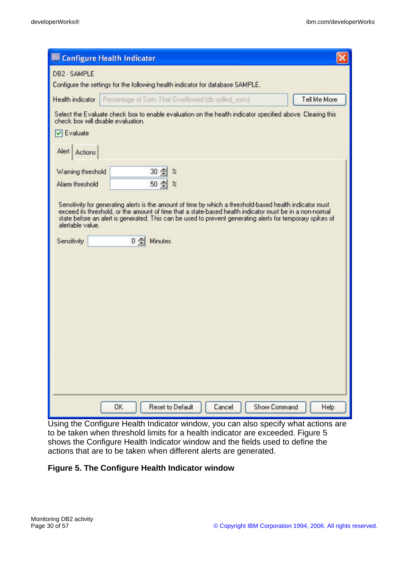| Configure Health Indicator                                                                                                                                                                                                                                                                                                                                                            |
|---------------------------------------------------------------------------------------------------------------------------------------------------------------------------------------------------------------------------------------------------------------------------------------------------------------------------------------------------------------------------------------|
| DB2 - SAMPLE<br>Configure the settings for the following health indicator for database SAMPLE.                                                                                                                                                                                                                                                                                        |
| Tell Me More<br>Percentage of Sorts That Overflowed (db.spilled_sorts)<br>Health indicator                                                                                                                                                                                                                                                                                            |
| Select the Evaluate check box to enable evaluation on the health indicator specified above. Clearing this<br>check box will disable evaluation.                                                                                                                                                                                                                                       |
| $\nabla$ Evaluate                                                                                                                                                                                                                                                                                                                                                                     |
| Alert Actions                                                                                                                                                                                                                                                                                                                                                                         |
| $30 \div$<br>Warning threshold<br>$\%$                                                                                                                                                                                                                                                                                                                                                |
| Alarm threshold<br>$50 \div$<br>$\%$                                                                                                                                                                                                                                                                                                                                                  |
| Sensitivity for generating alerts is the amount of time by which a threshold-based health indicator must<br>exceed its threshold, or the amount of time that a state-based health indicator must be in a non-normal<br>state before an alert is generated. This can be used to prevent generating alerts for temporary spikes of<br>alertable value.<br>0 승<br>Sensitivity<br>Minutes |
| <b>Reset to Default</b><br>Show Command<br>Cancel<br>0K<br>Help                                                                                                                                                                                                                                                                                                                       |

Using the Configure Health Indicator window, you can also specify what actions are to be taken when threshold limits for a health indicator are exceeded. Figure 5 shows the Configure Health Indicator window and the fields used to define the actions that are to be taken when different alerts are generated.

#### **Figure 5. The Configure Health Indicator window**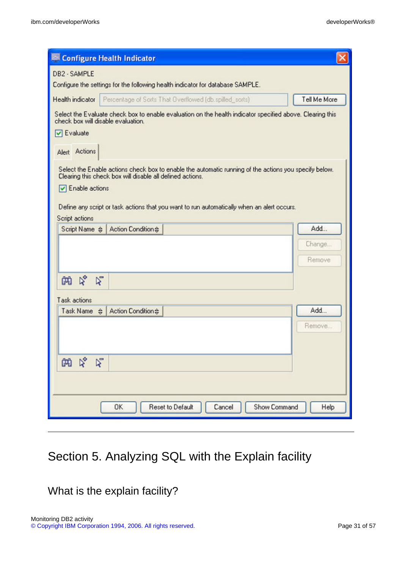| Configure Health Indicator                                                                                                                                                                                                                                                                                    |                  |
|---------------------------------------------------------------------------------------------------------------------------------------------------------------------------------------------------------------------------------------------------------------------------------------------------------------|------------------|
| DB2 - SAMPLE<br>Configure the settings for the following health indicator for database SAMPLE.                                                                                                                                                                                                                |                  |
| Health indicator<br>Percentage of Sorts That Overflowed (db.spilled_sorts)                                                                                                                                                                                                                                    | Tell Me More     |
| Select the Evaluate check box to enable evaluation on the health indicator specified above. Clearing this<br>check box will disable evaluation.<br>$\nabla$ Evaluate                                                                                                                                          |                  |
| Alert Actions                                                                                                                                                                                                                                                                                                 |                  |
| Select the Enable actions check box to enable the automatic running of the actions you specify below.<br>Clearing this check box will disable all defined actions.<br>$\nabla$ Enable actions<br>Define any script or task actions that you want to run automatically when an alert occurs.<br>Script actions |                  |
| Action Condition #<br>Script Name $\Leftrightarrow$                                                                                                                                                                                                                                                           | Add              |
|                                                                                                                                                                                                                                                                                                               | Change<br>Remove |
| な<br>$\triangleright$<br>帕                                                                                                                                                                                                                                                                                    |                  |
| Task actions                                                                                                                                                                                                                                                                                                  |                  |
| Task Name $\triangleq$<br>Action Condition #                                                                                                                                                                                                                                                                  | Add              |
|                                                                                                                                                                                                                                                                                                               | Remove           |
| B,<br>$\triangledown$<br>的                                                                                                                                                                                                                                                                                    |                  |
| Reset to Default<br>Show Command<br>0K<br>Cancel                                                                                                                                                                                                                                                              | Help             |

# Section 5. Analyzing SQL with the Explain facility

What is the explain facility?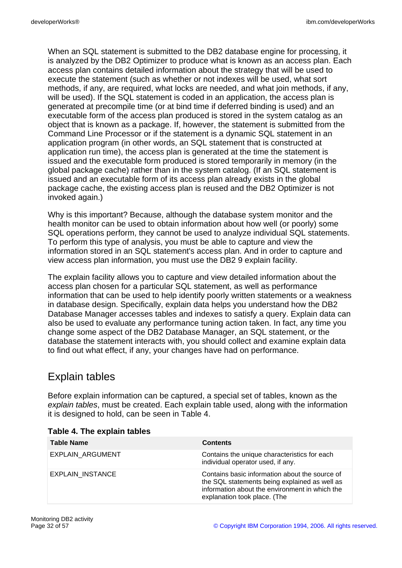When an SQL statement is submitted to the DB2 database engine for processing, it is analyzed by the DB2 Optimizer to produce what is known as an access plan. Each access plan contains detailed information about the strategy that will be used to execute the statement (such as whether or not indexes will be used, what sort methods, if any, are required, what locks are needed, and what join methods, if any, will be used). If the SQL statement is coded in an application, the access plan is generated at precompile time (or at bind time if deferred binding is used) and an executable form of the access plan produced is stored in the system catalog as an object that is known as a package. If, however, the statement is submitted from the Command Line Processor or if the statement is a dynamic SQL statement in an application program (in other words, an SQL statement that is constructed at application run time), the access plan is generated at the time the statement is issued and the executable form produced is stored temporarily in memory (in the global package cache) rather than in the system catalog. (If an SQL statement is issued and an executable form of its access plan already exists in the global package cache, the existing access plan is reused and the DB2 Optimizer is not invoked again.)

Why is this important? Because, although the database system monitor and the health monitor can be used to obtain information about how well (or poorly) some SQL operations perform, they cannot be used to analyze individual SQL statements. To perform this type of analysis, you must be able to capture and view the information stored in an SQL statement's access plan. And in order to capture and view access plan information, you must use the DB2 9 explain facility.

The explain facility allows you to capture and view detailed information about the access plan chosen for a particular SQL statement, as well as performance information that can be used to help identify poorly written statements or a weakness in database design. Specifically, explain data helps you understand how the DB2 Database Manager accesses tables and indexes to satisfy a query. Explain data can also be used to evaluate any performance tuning action taken. In fact, any time you change some aspect of the DB2 Database Manager, an SQL statement, or the database the statement interacts with, you should collect and examine explain data to find out what effect, if any, your changes have had on performance.

# Explain tables

Before explain information can be captured, a special set of tables, known as the explain tables, must be created. Each explain table used, along with the information it is designed to hold, can be seen in Table 4.

| <b>Table Name</b>       | <b>Contents</b>                                                                                                                                                                   |
|-------------------------|-----------------------------------------------------------------------------------------------------------------------------------------------------------------------------------|
| <b>EXPLAIN ARGUMENT</b> | Contains the unique characteristics for each<br>individual operator used, if any.                                                                                                 |
| EXPLAIN INSTANCE        | Contains basic information about the source of<br>the SQL statements being explained as well as<br>information about the environment in which the<br>explanation took place. (The |

#### **Table 4. The explain tables**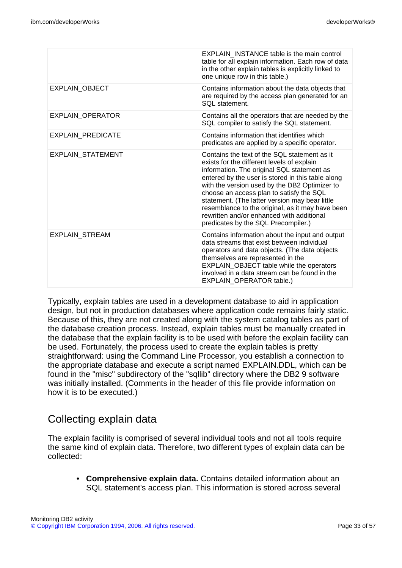|                          | <b>EXPLAIN INSTANCE table is the main control</b><br>table for all explain information. Each row of data<br>in the other explain tables is explicitly linked to<br>one unique row in this table.)                                                                                                                                                                                                                                                                                    |
|--------------------------|--------------------------------------------------------------------------------------------------------------------------------------------------------------------------------------------------------------------------------------------------------------------------------------------------------------------------------------------------------------------------------------------------------------------------------------------------------------------------------------|
| <b>EXPLAIN OBJECT</b>    | Contains information about the data objects that<br>are required by the access plan generated for an<br>SQL statement.                                                                                                                                                                                                                                                                                                                                                               |
| EXPLAIN_OPERATOR         | Contains all the operators that are needed by the<br>SQL compiler to satisfy the SQL statement.                                                                                                                                                                                                                                                                                                                                                                                      |
| <b>EXPLAIN PREDICATE</b> | Contains information that identifies which<br>predicates are applied by a specific operator.                                                                                                                                                                                                                                                                                                                                                                                         |
| EXPLAIN STATEMENT        | Contains the text of the SQL statement as it<br>exists for the different levels of explain<br>information. The original SQL statement as<br>entered by the user is stored in this table along<br>with the version used by the DB2 Optimizer to<br>choose an access plan to satisfy the SQL<br>statement. (The latter version may bear little<br>resemblance to the original, as it may have been<br>rewritten and/or enhanced with additional<br>predicates by the SQL Precompiler.) |
| <b>EXPLAIN STREAM</b>    | Contains information about the input and output<br>data streams that exist between individual<br>operators and data objects. (The data objects<br>themselves are represented in the<br><b>EXPLAIN OBJECT table while the operators</b><br>involved in a data stream can be found in the<br>EXPLAIN_OPERATOR table.)                                                                                                                                                                  |

Typically, explain tables are used in a development database to aid in application design, but not in production databases where application code remains fairly static. Because of this, they are not created along with the system catalog tables as part of the database creation process. Instead, explain tables must be manually created in the database that the explain facility is to be used with before the explain facility can be used. Fortunately, the process used to create the explain tables is pretty straightforward: using the Command Line Processor, you establish a connection to the appropriate database and execute a script named EXPLAIN.DDL, which can be found in the "misc" subdirectory of the "sqllib" directory where the DB2 9 software was initially installed. (Comments in the header of this file provide information on how it is to be executed.)

### Collecting explain data

The explain facility is comprised of several individual tools and not all tools require the same kind of explain data. Therefore, two different types of explain data can be collected:

• **Comprehensive explain data.** Contains detailed information about an SQL statement's access plan. This information is stored across several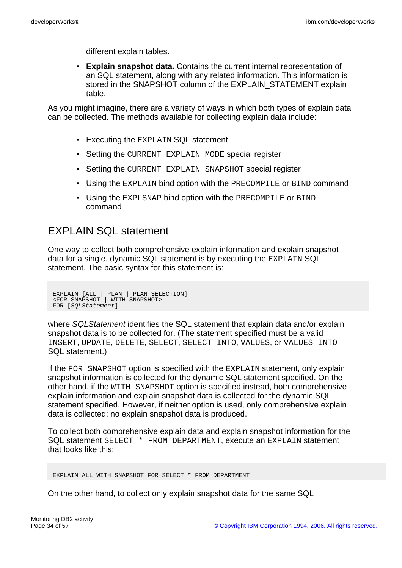different explain tables.

• **Explain snapshot data.** Contains the current internal representation of an SQL statement, along with any related information. This information is stored in the SNAPSHOT column of the EXPLAIN\_STATEMENT explain table.

As you might imagine, there are a variety of ways in which both types of explain data can be collected. The methods available for collecting explain data include:

- Executing the EXPLAIN SQL statement
- Setting the CURRENT EXPLAIN MODE special register
- Setting the CURRENT EXPLAIN SNAPSHOT special register
- Using the EXPLAIN bind option with the PRECOMPILE or BIND command
- Using the EXPLSNAP bind option with the PRECOMPILE or BIND command

### EXPLAIN SQL statement

One way to collect both comprehensive explain information and explain snapshot data for a single, dynamic SQL statement is by executing the EXPLAIN SQL statement. The basic syntax for this statement is:

EXPLAIN [ALL | PLAN | PLAN SELECTION] <FOR SNAPSHOT | WITH SNAPSHOT> FOR [SQLStatement]

where SQLStatement identifies the SQL statement that explain data and/or explain snapshot data is to be collected for. (The statement specified must be a valid INSERT, UPDATE, DELETE, SELECT, SELECT INTO, VALUES, or VALUES INTO SQL statement.)

If the FOR SNAPSHOT option is specified with the EXPLAIN statement, only explain snapshot information is collected for the dynamic SQL statement specified. On the other hand, if the WITH SNAPSHOT option is specified instead, both comprehensive explain information and explain snapshot data is collected for the dynamic SQL statement specified. However, if neither option is used, only comprehensive explain data is collected; no explain snapshot data is produced.

To collect both comprehensive explain data and explain snapshot information for the SQL statement SELECT \* FROM DEPARTMENT, execute an EXPLAIN statement that looks like this:

EXPLAIN ALL WITH SNAPSHOT FOR SELECT \* FROM DEPARTMENT

On the other hand, to collect only explain snapshot data for the same SQL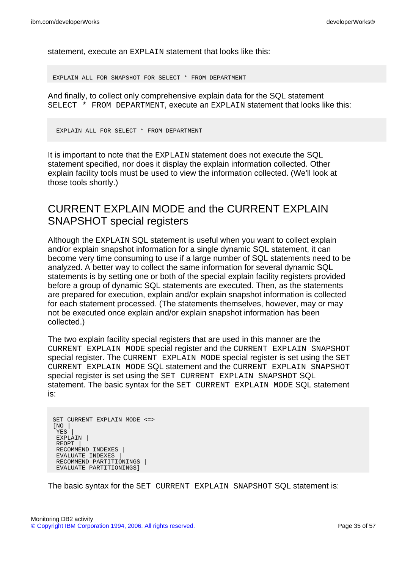statement, execute an EXPLAIN statement that looks like this:

EXPLAIN ALL FOR SNAPSHOT FOR SELECT \* FROM DEPARTMENT

And finally, to collect only comprehensive explain data for the SQL statement SELECT \* FROM DEPARTMENT, execute an EXPLAIN statement that looks like this:

EXPLAIN ALL FOR SELECT \* FROM DEPARTMENT

It is important to note that the EXPLAIN statement does not execute the SQL statement specified, nor does it display the explain information collected. Other explain facility tools must be used to view the information collected. (We'll look at those tools shortly.)

# CURRENT EXPLAIN MODE and the CURRENT EXPLAIN SNAPSHOT special registers

Although the EXPLAIN SQL statement is useful when you want to collect explain and/or explain snapshot information for a single dynamic SQL statement, it can become very time consuming to use if a large number of SQL statements need to be analyzed. A better way to collect the same information for several dynamic SQL statements is by setting one or both of the special explain facility registers provided before a group of dynamic SQL statements are executed. Then, as the statements are prepared for execution, explain and/or explain snapshot information is collected for each statement processed. (The statements themselves, however, may or may not be executed once explain and/or explain snapshot information has been collected.)

The two explain facility special registers that are used in this manner are the CURRENT EXPLAIN MODE special register and the CURRENT EXPLAIN SNAPSHOT special register. The CURRENT EXPLAIN MODE special register is set using the SET CURRENT EXPLAIN MODE SQL statement and the CURRENT EXPLAIN SNAPSHOT special register is set using the SET CURRENT EXPLAIN SNAPSHOT SQL statement. The basic syntax for the SET CURRENT EXPLAIN MODE SQL statement is:

```
SET CURRENT EXPLAIN MODE <=>
[NO |
 YES |
EXPLAIN |
REOPT |
RECOMMEND INDEXES |
EVALUATE INDEXES |
 RECOMMEND PARTITIONINGS |
 EVALUATE PARTITIONINGS]
```
The basic syntax for the SET CURRENT EXPLAIN SNAPSHOT SQL statement is: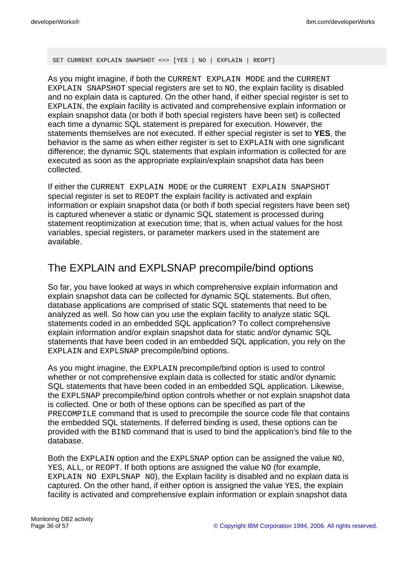SET CURRENT EXPLAIN SNAPSHOT <=> [YES | NO | EXPLAIN | REOPT]

As you might imagine, if both the CURRENT EXPLAIN MODE and the CURRENT EXPLAIN SNAPSHOT special registers are set to NO, the explain facility is disabled and no explain data is captured. On the other hand, if either special register is set to EXPLAIN, the explain facility is activated and comprehensive explain information or explain snapshot data (or both if both special registers have been set) is collected each time a dynamic SQL statement is prepared for execution. However, the statements themselves are not executed. If either special register is set to **YES**, the behavior is the same as when either register is set to EXPLAIN with one significant difference; the dynamic SQL statements that explain information is collected for are executed as soon as the appropriate explain/explain snapshot data has been collected.

If either the CURRENT EXPLAIN MODE or the CURRENT EXPLAIN SNAPSHOT special register is set to REOPT the explain facility is activated and explain information or explain snapshot data (or both if both special registers have been set) is captured whenever a static or dynamic SQL statement is processed during statement reoptimization at execution time; that is, when actual values for the host variables, special registers, or parameter markers used in the statement are available.

## The EXPLAIN and EXPLSNAP precompile/bind options

So far, you have looked at ways in which comprehensive explain information and explain snapshot data can be collected for dynamic SQL statements. But often, database applications are comprised of static SQL statements that need to be analyzed as well. So how can you use the explain facility to analyze static SQL statements coded in an embedded SQL application? To collect comprehensive explain information and/or explain snapshot data for static and/or dynamic SQL statements that have been coded in an embedded SQL application, you rely on the EXPLAIN and EXPLSNAP precompile/bind options.

As you might imagine, the EXPLAIN precompile/bind option is used to control whether or not comprehensive explain data is collected for static and/or dynamic SQL statements that have been coded in an embedded SQL application. Likewise, the EXPLSNAP precompile/bind option controls whether or not explain snapshot data is collected. One or both of these options can be specified as part of the PRECOMPILE command that is used to precompile the source code file that contains the embedded SQL statements. If deferred binding is used, these options can be provided with the BIND command that is used to bind the application's bind file to the database.

Both the EXPLAIN option and the EXPLSNAP option can be assigned the value NO, YES, ALL, or REOPT. If both options are assigned the value NO (for example, EXPLAIN NO EXPLSNAP NO), the Explain facility is disabled and no explain data is captured. On the other hand, if either option is assigned the value YES, the explain facility is activated and comprehensive explain information or explain snapshot data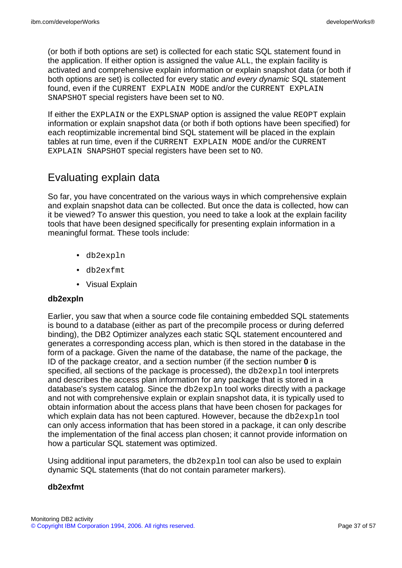(or both if both options are set) is collected for each static SQL statement found in the application. If either option is assigned the value ALL, the explain facility is activated and comprehensive explain information or explain snapshot data (or both if both options are set) is collected for every static and every dynamic SQL statement found, even if the CURRENT EXPLAIN MODE and/or the CURRENT EXPLAIN SNAPSHOT special registers have been set to NO.

If either the EXPLAIN or the EXPLSNAP option is assigned the value REOPT explain information or explain snapshot data (or both if both options have been specified) for each reoptimizable incremental bind SQL statement will be placed in the explain tables at run time, even if the CURRENT EXPLAIN MODE and/or the CURRENT EXPLAIN SNAPSHOT special registers have been set to NO.

# Evaluating explain data

So far, you have concentrated on the various ways in which comprehensive explain and explain snapshot data can be collected. But once the data is collected, how can it be viewed? To answer this question, you need to take a look at the explain facility tools that have been designed specifically for presenting explain information in a meaningful format. These tools include:

- db2expln
- db2exfmt
- Visual Explain

#### **db2expln**

Earlier, you saw that when a source code file containing embedded SQL statements is bound to a database (either as part of the precompile process or during deferred binding), the DB2 Optimizer analyzes each static SQL statement encountered and generates a corresponding access plan, which is then stored in the database in the form of a package. Given the name of the database, the name of the package, the ID of the package creator, and a section number (if the section number **0** is specified, all sections of the package is processed), the db2expln tool interprets and describes the access plan information for any package that is stored in a database's system catalog. Since the db2expln tool works directly with a package and not with comprehensive explain or explain snapshot data, it is typically used to obtain information about the access plans that have been chosen for packages for which explain data has not been captured. However, because the db2expln tool can only access information that has been stored in a package, it can only describe the implementation of the final access plan chosen; it cannot provide information on how a particular SQL statement was optimized.

Using additional input parameters, the db2expln tool can also be used to explain dynamic SQL statements (that do not contain parameter markers).

#### **db2exfmt**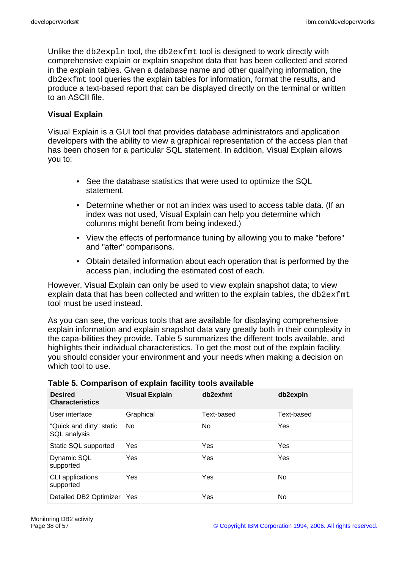Unlike the db2expln tool, the db2exfmt tool is designed to work directly with comprehensive explain or explain snapshot data that has been collected and stored in the explain tables. Given a database name and other qualifying information, the db2exfmt tool queries the explain tables for information, format the results, and produce a text-based report that can be displayed directly on the terminal or written to an ASCII file.

#### **Visual Explain**

Visual Explain is a GUI tool that provides database administrators and application developers with the ability to view a graphical representation of the access plan that has been chosen for a particular SQL statement. In addition, Visual Explain allows you to:

- See the database statistics that were used to optimize the SQL statement.
- Determine whether or not an index was used to access table data. (If an index was not used, Visual Explain can help you determine which columns might benefit from being indexed.)
- View the effects of performance tuning by allowing you to make "before" and "after" comparisons.
- Obtain detailed information about each operation that is performed by the access plan, including the estimated cost of each.

However, Visual Explain can only be used to view explain snapshot data; to view explain data that has been collected and written to the explain tables, the db2exfmt tool must be used instead.

As you can see, the various tools that are available for displaying comprehensive explain information and explain snapshot data vary greatly both in their complexity in the capa-bilities they provide. Table 5 summarizes the different tools available, and highlights their individual characteristics. To get the most out of the explain facility, you should consider your environment and your needs when making a decision on which tool to use.

| <b>Desired</b><br><b>Characteristics</b> | <b>Visual Explain</b> | db2exfmt   | db2expln   |
|------------------------------------------|-----------------------|------------|------------|
| User interface                           | Graphical             | Text-based | Text-based |
| "Quick and dirty" static<br>SQL analysis | No                    | No.        | Yes        |
| Static SQL supported                     | Yes                   | Yes        | Yes        |
| Dynamic SQL<br>supported                 | Yes                   | Yes        | Yes        |
| CLI applications<br>supported            | Yes                   | Yes        | No.        |
| Detailed DB2 Optimizer                   | Yes                   | Yes        | No         |

#### **Table 5. Comparison of explain facility tools available**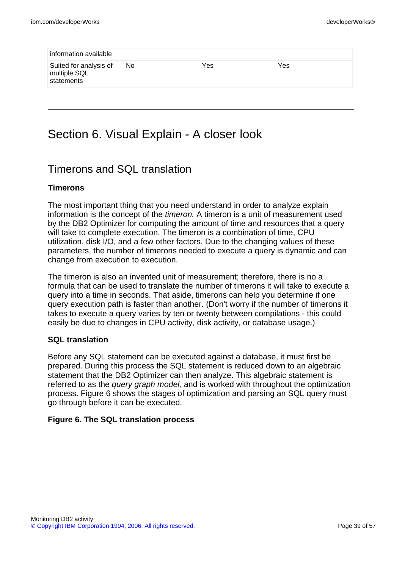| information available                                |     |     |     |  |
|------------------------------------------------------|-----|-----|-----|--|
| Suited for analysis of<br>multiple SQL<br>statements | No. | Yes | Yes |  |
|                                                      |     |     |     |  |

# Section 6. Visual Explain - A closer look

### Timerons and SQL translation

#### **Timerons**

The most important thing that you need understand in order to analyze explain information is the concept of the timeron. A timeron is a unit of measurement used by the DB2 Optimizer for computing the amount of time and resources that a query will take to complete execution. The timeron is a combination of time, CPU utilization, disk I/O, and a few other factors. Due to the changing values of these parameters, the number of timerons needed to execute a query is dynamic and can change from execution to execution.

The timeron is also an invented unit of measurement; therefore, there is no a formula that can be used to translate the number of timerons it will take to execute a query into a time in seconds. That aside, timerons can help you determine if one query execution path is faster than another. (Don't worry if the number of timerons it takes to execute a query varies by ten or twenty between compilations - this could easily be due to changes in CPU activity, disk activity, or database usage.)

#### **SQL translation**

Before any SQL statement can be executed against a database, it must first be prepared. During this process the SQL statement is reduced down to an algebraic statement that the DB2 Optimizer can then analyze. This algebraic statement is referred to as the *query graph model*, and is worked with throughout the optimization process. Figure 6 shows the stages of optimization and parsing an SQL query must go through before it can be executed.

#### **Figure 6. The SQL translation process**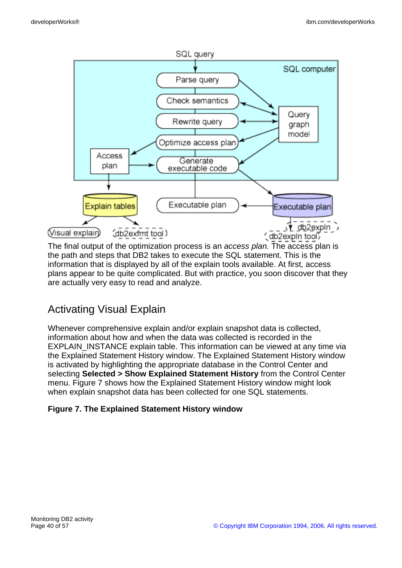

The final output of the optimization process is an access plan. The access plan is the path and steps that DB2 takes to execute the SQL statement. This is the information that is displayed by all of the explain tools available. At first, access plans appear to be quite complicated. But with practice, you soon discover that they are actually very easy to read and analyze.

# Activating Visual Explain

Whenever comprehensive explain and/or explain snapshot data is collected, information about how and when the data was collected is recorded in the EXPLAIN\_INSTANCE explain table. This information can be viewed at any time via the Explained Statement History window. The Explained Statement History window is activated by highlighting the appropriate database in the Control Center and selecting **Selected > Show Explained Statement History** from the Control Center menu. Figure 7 shows how the Explained Statement History window might look when explain snapshot data has been collected for one SQL statements.

### **Figure 7. The Explained Statement History window**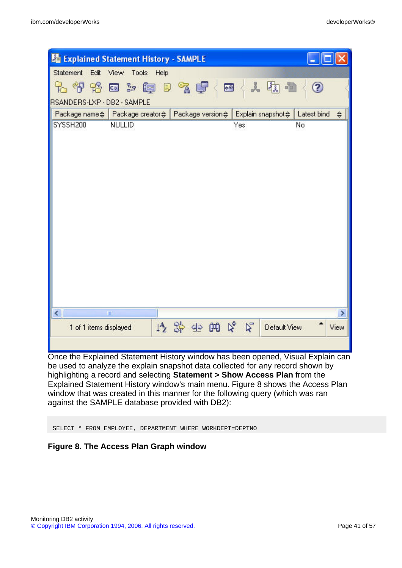| <b>Eg Explained Statement History - SAMPLE</b>  |                                   |                                   |                                    |                         |
|-------------------------------------------------|-----------------------------------|-----------------------------------|------------------------------------|-------------------------|
| Statement Edit View                             | Tools<br>Help                     |                                   |                                    |                         |
| <b>无脊背回车磨日气厚</b><br>RSANDERS-LXP - DB2 - SAMPLE |                                   | Ø                                 | 人质量                                | ⊘                       |
| Package name $\Leftrightarrow$                  | Package creator $\Leftrightarrow$ | Package version $\Leftrightarrow$ | Explain snapshot $\Leftrightarrow$ | Latest bind             |
| SYSSH200                                        | NULLID                            |                                   | Yes                                | $\Leftrightarrow$<br>No |
|                                                 |                                   |                                   |                                    |                         |
| $\overline{\left( \right)}$<br>шí               |                                   |                                   |                                    | >                       |
| 1 of 1 items displayed                          |                                   | 伊路亚姆及尼                            | Default View                       | View                    |
|                                                 |                                   |                                   |                                    |                         |

Once the Explained Statement History window has been opened, Visual Explain can be used to analyze the explain snapshot data collected for any record shown by highlighting a record and selecting **Statement > Show Access Plan** from the Explained Statement History window's main menu. Figure 8 shows the Access Plan window that was created in this manner for the following query (which was ran against the SAMPLE database provided with DB2):

SELECT \* FROM EMPLOYEE, DEPARTMENT WHERE WORKDEPT=DEPTNO

#### **Figure 8. The Access Plan Graph window**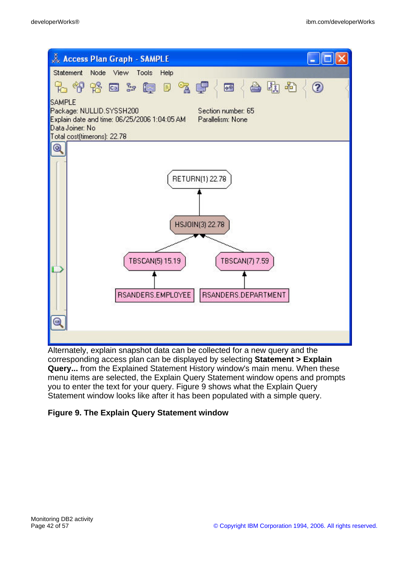

Alternately, explain snapshot data can be collected for a new query and the corresponding access plan can be displayed by selecting **Statement > Explain Query...** from the Explained Statement History window's main menu. When these menu items are selected, the Explain Query Statement window opens and prompts you to enter the text for your query. Figure 9 shows what the Explain Query Statement window looks like after it has been populated with a simple query.

#### **Figure 9. The Explain Query Statement window**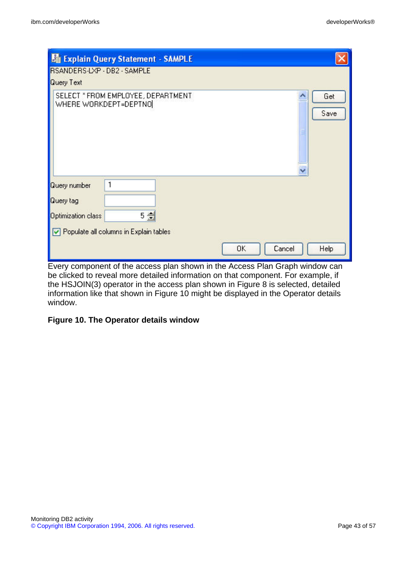| RSANDERS-LXP - DB2 - SAMPLE<br><b>Query Text</b>              | la Explain Query Statement - SAMPLE                         |           |        |             |
|---------------------------------------------------------------|-------------------------------------------------------------|-----------|--------|-------------|
|                                                               | SELECT * FROM EMPLOYEE, DEPARTMENT<br>WHERE WORKDEPT=DEPTNO |           |        | Get<br>Save |
| <b>Query number</b><br><b>Query</b> tag<br>Optimization class | 1<br>5 会<br>Populate all columns in Explain tables          |           |        |             |
|                                                               |                                                             | <b>OK</b> | Cancel | Help        |

Every component of the access plan shown in the Access Plan Graph window can be clicked to reveal more detailed information on that component. For example, if the HSJOIN(3) operator in the access plan shown in Figure 8 is selected, detailed information like that shown in Figure 10 might be displayed in the Operator details window.

#### **Figure 10. The Operator details window**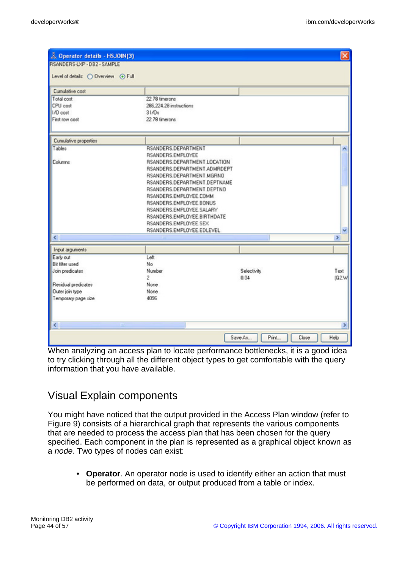| Operator details - HSJOIN(3)        |                              |                   | ×             |
|-------------------------------------|------------------------------|-------------------|---------------|
| RSANDERS-LXP - DB2 - SAMPLE         |                              |                   |               |
| Level of details: O Overview . Full |                              |                   |               |
| Cumulative cost                     |                              |                   |               |
| Total cost                          | 22.78 timerons               |                   |               |
| CPU cost                            | 286 224.28 instructions      |                   |               |
| I/D cost                            | 31/Ds                        |                   |               |
| First row cost                      | 22.78 timerons               |                   |               |
| Cumulative properties               |                              |                   |               |
| Tables                              | RSANDERS.DEPARTMENT          |                   |               |
|                                     | RSANDERS.EMPLOYEE            |                   |               |
| Columns                             | RSANDERS.DEPARTMENT.LOCATION |                   |               |
|                                     | RSANDERS.DEPARTMENT.ADMRDEPT |                   |               |
|                                     | RSANDERS.DEPARTMENT.MGRNO    |                   |               |
|                                     | RSANDERS.DEPARTMENT.DEPTNAME |                   |               |
|                                     | RSANDERS.DEPARTMENT.DEPTNO   |                   |               |
|                                     | RSANDERS.EMPLOYEE.COMM       |                   |               |
|                                     | RSANDERS.EMPLOYEE.BONUS      |                   |               |
|                                     | RSANDERS.EMPLOYEE.SALARY     |                   |               |
|                                     | RSANDERS.EMPLOYEE.BIRTHDATE  |                   |               |
|                                     | RSANDERS.EMPLOYEE.SEX        |                   |               |
|                                     | RSANDERS.EMPLOYEE.EDLEVEL    |                   |               |
| $\left\langle \cdot \right\rangle$  |                              |                   | $\,$          |
| Input arguments                     |                              |                   |               |
| Early out                           | Left                         |                   |               |
| <b>Bit filter used</b>              | No                           |                   |               |
| Join predicates                     | Number                       | Selectivity       | Text          |
|                                     | 2                            | 0.04              | (Q2.W         |
| Residual predicates                 | None                         |                   |               |
| Outer join type                     | None                         |                   |               |
| Temporary page size                 | 4096                         |                   |               |
| $\leq$                              |                              |                   | $\rightarrow$ |
|                                     |                              | Print.<br>Save As | Close<br>Help |

When analyzing an access plan to locate performance bottlenecks, it is a good idea to try clicking through all the different object types to get comfortable with the query information that you have available.

### Visual Explain components

You might have noticed that the output provided in the Access Plan window (refer to Figure 9) consists of a hierarchical graph that represents the various components that are needed to process the access plan that has been chosen for the query specified. Each component in the plan is represented as a graphical object known as a node. Two types of nodes can exist:

• **Operator**. An operator node is used to identify either an action that must be performed on data, or output produced from a table or index.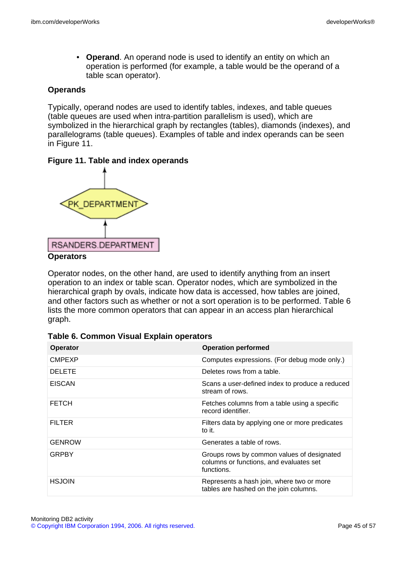• **Operand**. An operand node is used to identify an entity on which an operation is performed (for example, a table would be the operand of a table scan operator).

#### **Operands**

Typically, operand nodes are used to identify tables, indexes, and table queues (table queues are used when intra-partition parallelism is used), which are symbolized in the hierarchical graph by rectangles (tables), diamonds (indexes), and parallelograms (table queues). Examples of table and index operands can be seen in Figure 11.

#### **Figure 11. Table and index operands**



Operator nodes, on the other hand, are used to identify anything from an insert operation to an index or table scan. Operator nodes, which are symbolized in the hierarchical graph by ovals, indicate how data is accessed, how tables are joined, and other factors such as whether or not a sort operation is to be performed. Table 6 lists the more common operators that can appear in an access plan hierarchical graph.

| <b>Operator</b> | <b>Operation performed</b>                                                                          |
|-----------------|-----------------------------------------------------------------------------------------------------|
| <b>CMPEXP</b>   | Computes expressions. (For debug mode only.)                                                        |
| <b>DELETE</b>   | Deletes rows from a table.                                                                          |
| <b>EISCAN</b>   | Scans a user-defined index to produce a reduced<br>stream of rows.                                  |
| <b>FETCH</b>    | Fetches columns from a table using a specific<br>record identifier.                                 |
| <b>FILTER</b>   | Filters data by applying one or more predicates<br>to it.                                           |
| <b>GENROW</b>   | Generates a table of rows.                                                                          |
| <b>GRPBY</b>    | Groups rows by common values of designated<br>columns or functions, and evaluates set<br>functions. |
| <b>HSJOIN</b>   | Represents a hash join, where two or more<br>tables are hashed on the join columns.                 |

#### **Table 6. Common Visual Explain operators**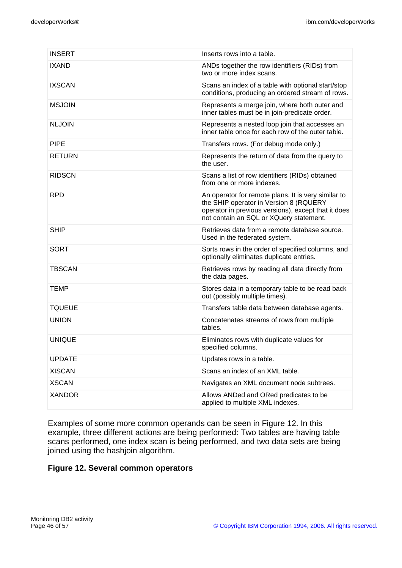| <b>INSERT</b> | Inserts rows into a table.                                                                                                                                                                      |
|---------------|-------------------------------------------------------------------------------------------------------------------------------------------------------------------------------------------------|
| <b>IXAND</b>  | ANDs together the row identifiers (RIDs) from<br>two or more index scans.                                                                                                                       |
| <b>IXSCAN</b> | Scans an index of a table with optional start/stop<br>conditions, producing an ordered stream of rows.                                                                                          |
| <b>MSJOIN</b> | Represents a merge join, where both outer and<br>inner tables must be in join-predicate order.                                                                                                  |
| <b>NLJOIN</b> | Represents a nested loop join that accesses an<br>inner table once for each row of the outer table.                                                                                             |
| <b>PIPE</b>   | Transfers rows. (For debug mode only.)                                                                                                                                                          |
| <b>RETURN</b> | Represents the return of data from the query to<br>the user.                                                                                                                                    |
| <b>RIDSCN</b> | Scans a list of row identifiers (RIDs) obtained<br>from one or more indexes.                                                                                                                    |
| <b>RPD</b>    | An operator for remote plans. It is very similar to<br>the SHIP operator in Version 8 (RQUERY<br>operator in previous versions), except that it does<br>not contain an SQL or XQuery statement. |
| <b>SHIP</b>   | Retrieves data from a remote database source.<br>Used in the federated system.                                                                                                                  |
| <b>SORT</b>   | Sorts rows in the order of specified columns, and<br>optionally eliminates duplicate entries.                                                                                                   |
| <b>TBSCAN</b> | Retrieves rows by reading all data directly from<br>the data pages.                                                                                                                             |
| <b>TEMP</b>   | Stores data in a temporary table to be read back<br>out (possibly multiple times).                                                                                                              |
| <b>TQUEUE</b> | Transfers table data between database agents.                                                                                                                                                   |
| <b>UNION</b>  | Concatenates streams of rows from multiple<br>tables.                                                                                                                                           |
| <b>UNIQUE</b> | Eliminates rows with duplicate values for<br>specified columns.                                                                                                                                 |
| <b>UPDATE</b> | Updates rows in a table.                                                                                                                                                                        |
| <b>XISCAN</b> | Scans an index of an XML table.                                                                                                                                                                 |
| <b>XSCAN</b>  | Navigates an XML document node subtrees.                                                                                                                                                        |
| <b>XANDOR</b> | Allows ANDed and ORed predicates to be<br>applied to multiple XML indexes.                                                                                                                      |

Examples of some more common operands can be seen in Figure 12. In this example, three different actions are being performed: Two tables are having table scans performed, one index scan is being performed, and two data sets are being joined using the hashjoin algorithm.

#### **Figure 12. Several common operators**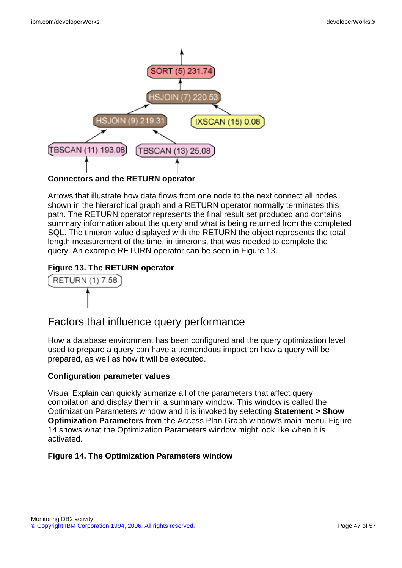

Arrows that illustrate how data flows from one node to the next connect all nodes shown in the hierarchical graph and a RETURN operator normally terminates this path. The RETURN operator represents the final result set produced and contains summary information about the query and what is being returned from the completed SQL. The timeron value displayed with the RETURN the object represents the total length measurement of the time, in timerons, that was needed to complete the query. An example RETURN operator can be seen in Figure 13.

### **Figure 13. The RETURN operator**



# Factors that influence query performance

How a database environment has been configured and the query optimization level used to prepare a query can have a tremendous impact on how a query will be prepared, as well as how it will be executed.

#### **Configuration parameter values**

Visual Explain can quickly sumarize all of the parameters that affect query compilation and display them in a summary window. This window is called the Optimization Parameters window and it is invoked by selecting **Statement > Show Optimization Parameters** from the Access Plan Graph window's main menu. Figure 14 shows what the Optimization Parameters window might look like when it is activated.

#### **Figure 14. The Optimization Parameters window**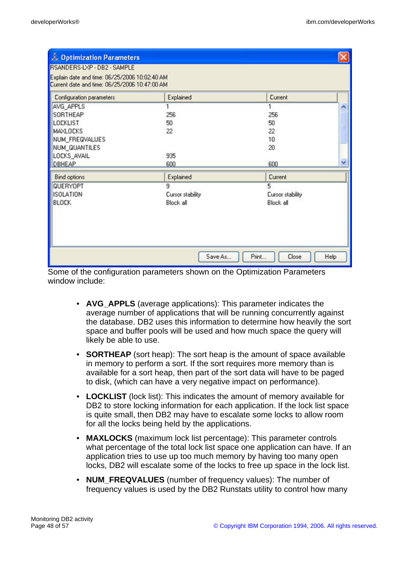| <b>Continuization Parameters</b>                                                               |                  |                        |              |
|------------------------------------------------------------------------------------------------|------------------|------------------------|--------------|
| RSANDERS-LXP - DB2 - SAMPLE                                                                    |                  |                        |              |
| Explain date and time: 06/25/2006 10:02:40 AM<br>Current date and time: 06/25/2006 10:47:00 AM |                  |                        |              |
| Configuration parameters                                                                       | Explained        | Current                |              |
| AVG_APPLS                                                                                      |                  |                        | ^            |
| SORTHEAP                                                                                       | 256              | 256                    |              |
| <b>LOCKLIST</b>                                                                                | 50               | 50                     |              |
| MAXLOCKS                                                                                       | 22               | 22                     |              |
| NUM_FREQVALUES                                                                                 |                  | 10                     |              |
| NUM_QUANTILES                                                                                  |                  | 20                     |              |
| LOCKS_AVAIL                                                                                    | 935              |                        |              |
| DBHEAP                                                                                         | 600              | 600                    | $\checkmark$ |
| Bind options                                                                                   | Explained        | Current                |              |
| QUERYOPT                                                                                       | 9                | 5                      |              |
| <b>ISOLATION</b>                                                                               | Cursor stability | Cursor stability       |              |
| <b>BLOCK</b>                                                                                   | Block all        | Block all              |              |
|                                                                                                |                  |                        |              |
|                                                                                                |                  |                        |              |
|                                                                                                |                  |                        |              |
|                                                                                                |                  |                        |              |
|                                                                                                |                  |                        |              |
|                                                                                                | Save As          | Print<br>Help<br>Close |              |

Some of the configuration parameters shown on the Optimization Parameters window include:

- **AVG\_APPLS** (average applications): This parameter indicates the average number of applications that will be running concurrently against the database. DB2 uses this information to determine how heavily the sort space and buffer pools will be used and how much space the query will likely be able to use.
- **SORTHEAP** (sort heap): The sort heap is the amount of space available in memory to perform a sort. If the sort requires more memory than is available for a sort heap, then part of the sort data will have to be paged to disk, (which can have a very negative impact on performance).
- **LOCKLIST** (lock list): This indicates the amount of memory available for DB2 to store locking information for each application. If the lock list space is quite small, then DB2 may have to escalate some locks to allow room for all the locks being held by the applications.
- **MAXLOCKS** (maximum lock list percentage): This parameter controls what percentage of the total lock list space one application can have. If an application tries to use up too much memory by having too many open locks, DB2 will escalate some of the locks to free up space in the lock list.
- **NUM\_FREQVALUES** (number of frequency values): The number of frequency values is used by the DB2 Runstats utility to control how many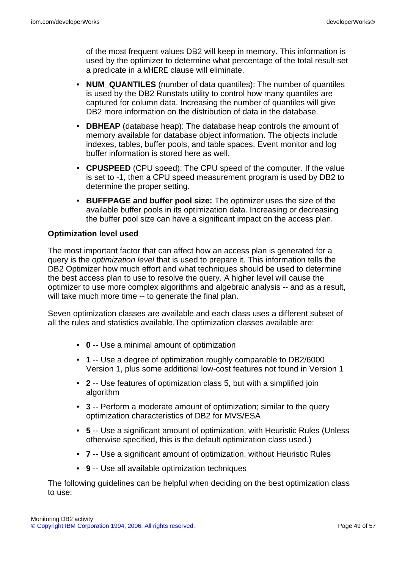of the most frequent values DB2 will keep in memory. This information is used by the optimizer to determine what percentage of the total result set a predicate in a WHERE clause will eliminate.

- **NUM\_QUANTILES** (number of data quantiles): The number of quantiles is used by the DB2 Runstats utility to control how many quantiles are captured for column data. Increasing the number of quantiles will give DB2 more information on the distribution of data in the database.
- **DBHEAP** (database heap): The database heap controls the amount of memory available for database object information. The objects include indexes, tables, buffer pools, and table spaces. Event monitor and log buffer information is stored here as well.
- **CPUSPEED** (CPU speed): The CPU speed of the computer. If the value is set to -1, then a CPU speed measurement program is used by DB2 to determine the proper setting.
- **BUFFPAGE and buffer pool size:** The optimizer uses the size of the available buffer pools in its optimization data. Increasing or decreasing the buffer pool size can have a significant impact on the access plan.

#### **Optimization level used**

The most important factor that can affect how an access plan is generated for a query is the optimization level that is used to prepare it. This information tells the DB2 Optimizer how much effort and what techniques should be used to determine the best access plan to use to resolve the query. A higher level will cause the optimizer to use more complex algorithms and algebraic analysis -- and as a result, will take much more time -- to generate the final plan.

Seven optimization classes are available and each class uses a different subset of all the rules and statistics available.The optimization classes available are:

- **0** -- Use a minimal amount of optimization
- **1** -- Use a degree of optimization roughly comparable to DB2/6000 Version 1, plus some additional low-cost features not found in Version 1
- **2** -- Use features of optimization class 5, but with a simplified join algorithm
- **3** -- Perform a moderate amount of optimization; similar to the query optimization characteristics of DB2 for MVS/ESA
- **5** -- Use a significant amount of optimization, with Heuristic Rules (Unless otherwise specified, this is the default optimization class used.)
- **7** -- Use a significant amount of optimization, without Heuristic Rules
- **9** -- Use all available optimization techniques

The following guidelines can be helpful when deciding on the best optimization class to use: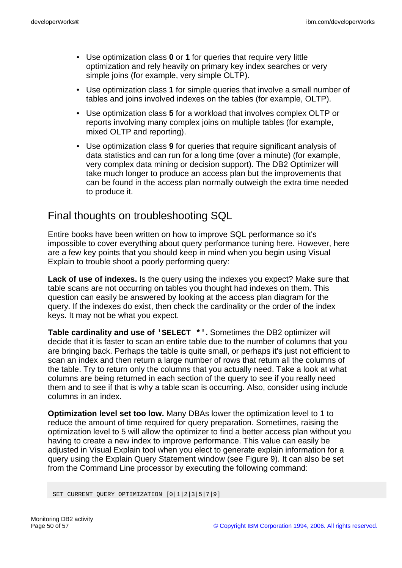- Use optimization class **0** or **1** for queries that require very little optimization and rely heavily on primary key index searches or very simple joins (for example, very simple OLTP).
- Use optimization class **1** for simple queries that involve a small number of tables and joins involved indexes on the tables (for example, OLTP).
- Use optimization class **5** for a workload that involves complex OLTP or reports involving many complex joins on multiple tables (for example, mixed OLTP and reporting).
- Use optimization class **9** for queries that require significant analysis of data statistics and can run for a long time (over a minute) (for example, very complex data mining or decision support). The DB2 Optimizer will take much longer to produce an access plan but the improvements that can be found in the access plan normally outweigh the extra time needed to produce it.

# Final thoughts on troubleshooting SQL

Entire books have been written on how to improve SQL performance so it's impossible to cover everything about query performance tuning here. However, here are a few key points that you should keep in mind when you begin using Visual Explain to trouble shoot a poorly performing query:

**Lack of use of indexes.** Is the query using the indexes you expect? Make sure that table scans are not occurring on tables you thought had indexes on them. This question can easily be answered by looking at the access plan diagram for the query. If the indexes do exist, then check the cardinality or the order of the index keys. It may not be what you expect.

**Table cardinality and use of 'SELECT \*'.** Sometimes the DB2 optimizer will decide that it is faster to scan an entire table due to the number of columns that you are bringing back. Perhaps the table is quite small, or perhaps it's just not efficient to scan an index and then return a large number of rows that return all the columns of the table. Try to return only the columns that you actually need. Take a look at what columns are being returned in each section of the query to see if you really need them and to see if that is why a table scan is occurring. Also, consider using include columns in an index.

**Optimization level set too low.** Many DBAs lower the optimization level to 1 to reduce the amount of time required for query preparation. Sometimes, raising the optimization level to 5 will allow the optimizer to find a better access plan without you having to create a new index to improve performance. This value can easily be adjusted in Visual Explain tool when you elect to generate explain information for a query using the Explain Query Statement window (see Figure 9). It can also be set from the Command Line processor by executing the following command:

SET CURRENT QUERY OPTIMIZATION [0|1|2|3|5|7|9]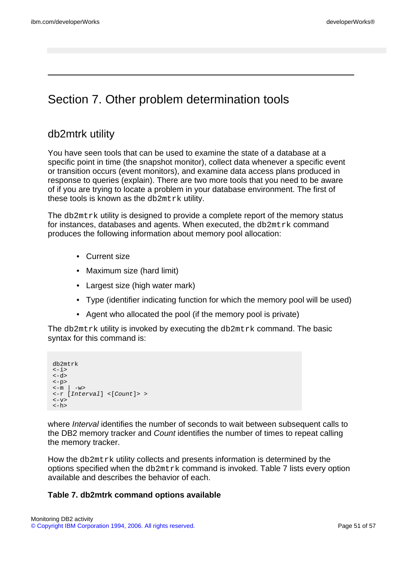# Section 7. Other problem determination tools

## db2mtrk utility

You have seen tools that can be used to examine the state of a database at a specific point in time (the snapshot monitor), collect data whenever a specific event or transition occurs (event monitors), and examine data access plans produced in response to queries (explain). There are two more tools that you need to be aware of if you are trying to locate a problem in your database environment. The first of these tools is known as the db2mtrk utility.

The db2mtrk utility is designed to provide a complete report of the memory status for instances, databases and agents. When executed, the db2mtrk command produces the following information about memory pool allocation:

- Current size
- Maximum size (hard limit)
- Largest size (high water mark)
- Type (identifier indicating function for which the memory pool will be used)
- Agent who allocated the pool (if the memory pool is private)

The db2mtrk utility is invoked by executing the db2mtrk command. The basic syntax for this command is:

```
db2mtrk
\le -i\sim-d\sim<-p>\langle -m \mid -w \rangle<-r [Interval] <[Count]> >
\leq -vz
\langle -h \rangle
```
where *Interval* identifies the number of seconds to wait between subsequent calls to the DB2 memory tracker and Count identifies the number of times to repeat calling the memory tracker.

How the db2mtrk utility collects and presents information is determined by the options specified when the db2mtrk command is invoked. Table 7 lists every option available and describes the behavior of each.

#### **Table 7. db2mtrk command options available**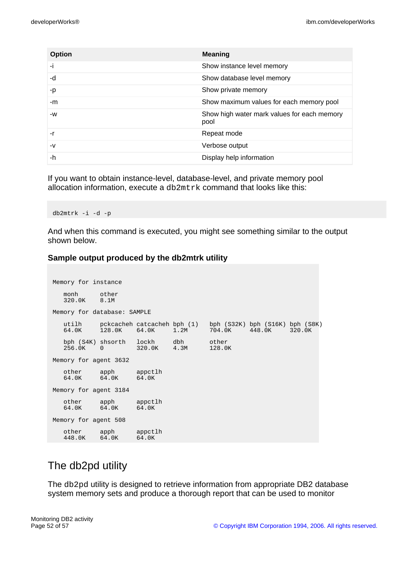| <b>Option</b> | <b>Meaning</b>                                      |
|---------------|-----------------------------------------------------|
| ۰i            | Show instance level memory                          |
| -d            | Show database level memory                          |
| -p            | Show private memory                                 |
| -m            | Show maximum values for each memory pool            |
| -W            | Show high water mark values for each memory<br>pool |
| -r            | Repeat mode                                         |
| $-V$          | Verbose output                                      |
| -h            | Display help information                            |

If you want to obtain instance-level, database-level, and private memory pool allocation information, execute a db2mtrk command that looks like this:

db2mtrk -i -d -p

And when this command is executed, you might see something similar to the output shown below.

#### **Sample output produced by the db2mtrk utility**

```
Memory for instance
  monh other
  320.0K 8.1M
Memory for database: SAMPLE
   utilh pckcacheh catcacheh bph (1) bph (S32K) bph (S16K) bph (S8K)
   64.0K 128.0K 64.0K 1.2M 704.0K 448.0K 320.0K
   bph (S4K) shsorth lockh dbh other
   256.0K 0 320.0K 4.3M 128.0K
Memory for agent 3632
   other apph appctlh
   64.0K 64.0K 64.0K
Memory for agent 3184
  other apph appctlh<br>64.0K 64.0K 64.0K
           64.0KMemory for agent 508
  other apph appctlh<br>448.0K 64.0K 64.0K
  448.0K 64.0K 64.0K
```
# The db2pd utility

The db2pd utility is designed to retrieve information from appropriate DB2 database system memory sets and produce a thorough report that can be used to monitor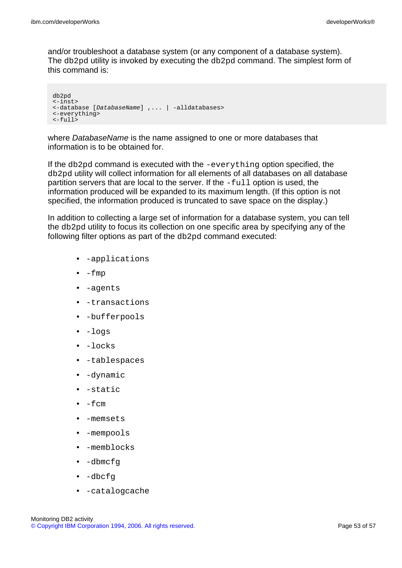and/or troubleshoot a database system (or any component of a database system). The db2pd utility is invoked by executing the db2pd command. The simplest form of this command is:

```
db2pd
<-inst>
<-database [DatabaseName] ,... | -alldatabases>
<-everything>
<-full>
```
where *DatabaseName* is the name assigned to one or more databases that information is to be obtained for.

If the db2pd command is executed with the -everything option specified, the db2pd utility will collect information for all elements of all databases on all database partition servers that are local to the server. If the -full option is used, the information produced will be expanded to its maximum length. (If this option is not specified, the information produced is truncated to save space on the display.)

In addition to collecting a large set of information for a database system, you can tell the db2pd utility to focus its collection on one specific area by specifying any of the following filter options as part of the db2pd command executed:

- -applications
- $\bullet$  -fmp
- -agents
- -transactions
- -bufferpools
- -logs
- -locks
- -tablespaces
- -dynamic
- -static
- -fcm
- -memsets
- -mempools
- -memblocks
- -dbmcfg
- -dbcfg
- -catalogcache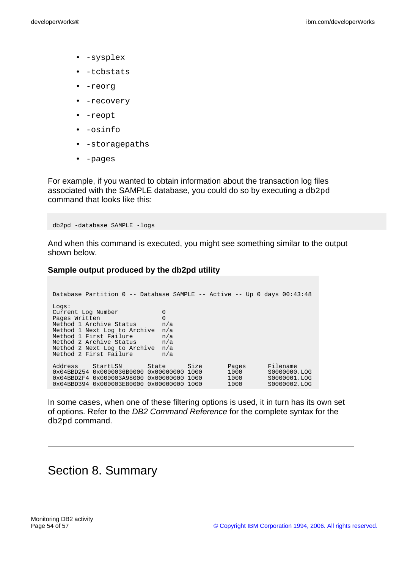- -sysplex
- -tcbstats
- -reorg
- -recovery
- -reopt
- -osinfo
- -storagepaths
- -pages

For example, if you wanted to obtain information about the transaction log files associated with the SAMPLE database, you could do so by executing a db2pd command that looks like this:

db2pd -database SAMPLE -logs

And when this command is executed, you might see something similar to the output shown below.

#### **Sample output produced by the db2pd utility**

| Database Partition 0 -- Database SAMPLE -- Active -- Up 0 days 00:43:48 |  |          |                 |       |  |              |
|-------------------------------------------------------------------------|--|----------|-----------------|-------|--|--------------|
| Logs:                                                                   |  |          |                 |       |  |              |
| Current Log Number                                                      |  | 0        |                 |       |  |              |
| Pages Written                                                           |  | $\Omega$ |                 |       |  |              |
| Method 1 Archive Status<br>n/a                                          |  |          |                 |       |  |              |
| Method 1 Next Log to Archive                                            |  | n/a      |                 |       |  |              |
| Method 1 First Failure<br>n/a                                           |  |          |                 |       |  |              |
| Method 2 Archive Status<br>n/a                                          |  |          |                 |       |  |              |
| Method 2 Next Log to Archive<br>n/a                                     |  |          |                 |       |  |              |
| Method 2 First Failure<br>n/a                                           |  |          |                 |       |  |              |
|                                                                         |  |          |                 |       |  |              |
| Address<br>StartLSN                                                     |  | State    | Size            | Pages |  | Filename     |
| $0 \times 04$ BBD254 0 $\times 0000036$ B0000 0 $\times 00000000$ 1000  |  |          |                 | 1000  |  | S0000000.LOG |
| $0 \times 04$ BBD2F4 $0 \times 000003$ A98000 $0 \times 00000000$ 1000  |  |          |                 | 1000  |  | S0000001.LOG |
| $0 \times 04$ BBD394 $0 \times 000003$ E80000                           |  |          | 0x00000000 1000 | 1000  |  | S0000002.LOG |

In some cases, when one of these filtering options is used, it in turn has its own set of options. Refer to the DB2 Command Reference for the complete syntax for the db2pd command.

# Section 8. Summary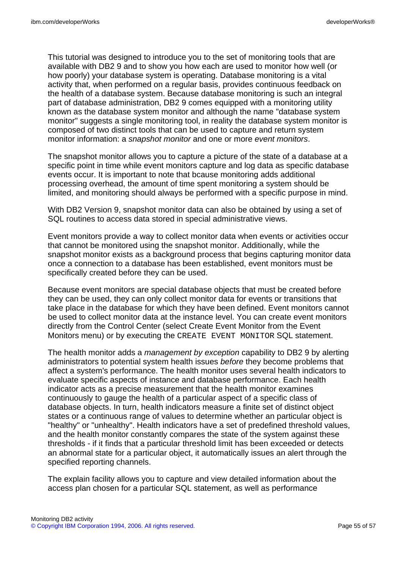This tutorial was designed to introduce you to the set of monitoring tools that are available with DB2 9 and to show you how each are used to monitor how well (or how poorly) your database system is operating. Database monitoring is a vital activity that, when performed on a regular basis, provides continuous feedback on the health of a database system. Because database monitoring is such an integral part of database administration, DB2 9 comes equipped with a monitoring utility known as the database system monitor and although the name "database system monitor" suggests a single monitoring tool, in reality the database system monitor is composed of two distinct tools that can be used to capture and return system monitor information: a snapshot monitor and one or more event monitors.

The snapshot monitor allows you to capture a picture of the state of a database at a specific point in time while event monitors capture and log data as specific database events occur. It is important to note that bcause monitoring adds additional processing overhead, the amount of time spent monitoring a system should be limited, and monitoring should always be performed with a specific purpose in mind.

With DB2 Version 9, snapshot monitor data can also be obtained by using a set of SQL routines to access data stored in special administrative views.

Event monitors provide a way to collect monitor data when events or activities occur that cannot be monitored using the snapshot monitor. Additionally, while the snapshot monitor exists as a background process that begins capturing monitor data once a connection to a database has been established, event monitors must be specifically created before they can be used.

Because event monitors are special database objects that must be created before they can be used, they can only collect monitor data for events or transitions that take place in the database for which they have been defined. Event monitors cannot be used to collect monitor data at the instance level. You can create event monitors directly from the Control Center (select Create Event Monitor from the Event Monitors menu) or by executing the CREATE EVENT MONITOR SQL statement.

The health monitor adds a *management by exception* capability to DB2 9 by alerting administrators to potential system health issues before they become problems that affect a system's performance. The health monitor uses several health indicators to evaluate specific aspects of instance and database performance. Each health indicator acts as a precise measurement that the health monitor examines continuously to gauge the health of a particular aspect of a specific class of database objects. In turn, health indicators measure a finite set of distinct object states or a continuous range of values to determine whether an particular object is "healthy" or "unhealthy". Health indicators have a set of predefined threshold values, and the health monitor constantly compares the state of the system against these thresholds - if it finds that a particular threshold limit has been exceeded or detects an abnormal state for a particular object, it automatically issues an alert through the specified reporting channels.

The explain facility allows you to capture and view detailed information about the access plan chosen for a particular SQL statement, as well as performance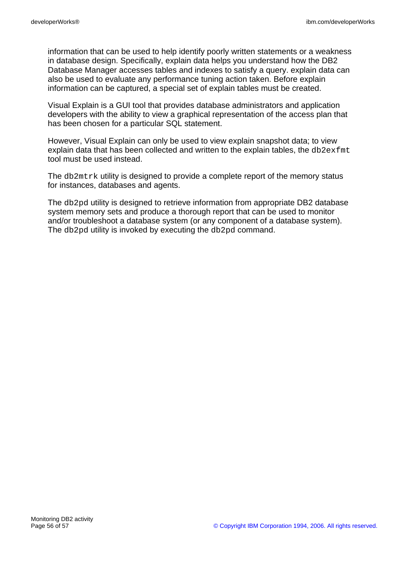information that can be used to help identify poorly written statements or a weakness in database design. Specifically, explain data helps you understand how the DB2 Database Manager accesses tables and indexes to satisfy a query. explain data can also be used to evaluate any performance tuning action taken. Before explain information can be captured, a special set of explain tables must be created.

Visual Explain is a GUI tool that provides database administrators and application developers with the ability to view a graphical representation of the access plan that has been chosen for a particular SQL statement.

However, Visual Explain can only be used to view explain snapshot data; to view explain data that has been collected and written to the explain tables, the db2exfmt tool must be used instead.

The db2mtrk utility is designed to provide a complete report of the memory status for instances, databases and agents.

The db2pd utility is designed to retrieve information from appropriate DB2 database system memory sets and produce a thorough report that can be used to monitor and/or troubleshoot a database system (or any component of a database system). The db2pd utility is invoked by executing the db2pd command.